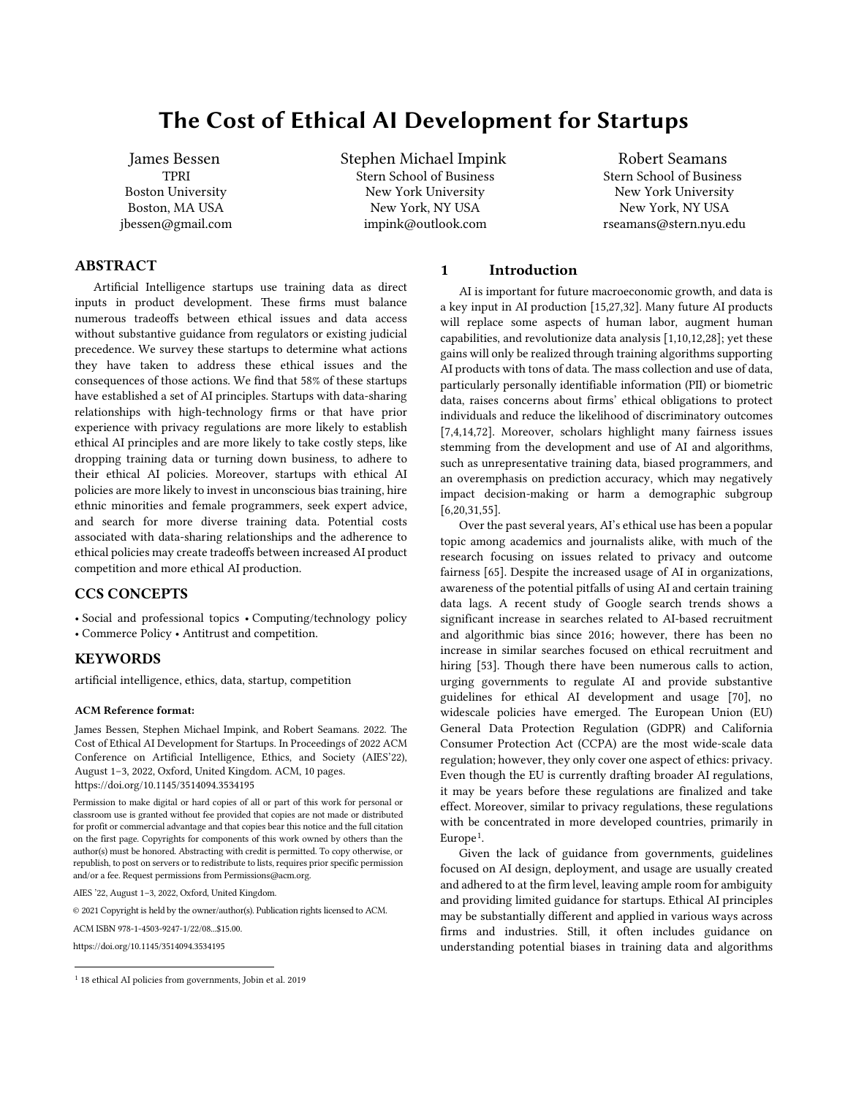# The Cost of Ethical AI Development for Startups

James Bessen TPRI Boston University Boston, MA USA jbessen@gmail.com Stephen Michael Impink Stern School of Business New York University New York, NY USA [impink@outlook.com](mailto:email@email.com)

Robert Seamans Stern School of Business New York University New York, NY USA [rseamans@stern.nyu.edu](mailto:email@email.com)

# ABSTRACT

Artificial Intelligence startups use training data as direct inputs in product development. These firms must balance numerous tradeoffs between ethical issues and data access without substantive guidance from regulators or existing judicial precedence. We survey these startups to determine what actions they have taken to address these ethical issues and the consequences of those actions. We find that 58% of these startups have established a set of AI principles. Startups with data-sharing relationships with high-technology firms or that have prior experience with privacy regulations are more likely to establish ethical AI principles and are more likely to take costly steps, like dropping training data or turning down business, to adhere to their ethical AI policies. Moreover, startups with ethical AI policies are more likely to invest in unconscious bias training, hire ethnic minorities and female programmers, seek expert advice, and search for more diverse training data. Potential costs associated with data-sharing relationships and the adherence to ethical policies may create tradeoffs between increased AI product competition and more ethical AI production.

# CCS CONCEPTS

• Social and professional topics • Computing/technology policy

• Commerce Policy • Antitrust and competition.

# KEYWORDS

artificial intelligence, ethics, data, startup, competition

#### ACM Reference format:

James Bessen, Stephen Michael Impink, and Robert Seamans. 2022. The Cost of Ethical AI Development for Startups. In Proceedings of 2022 ACM Conference on Artificial Intelligence, Ethics, and Society (AIES'22), August 1–3, 2022, Oxford, United Kingdom. ACM, 10 pages. https://doi.org/10.1145/3514094.3534195

Permission to make digital or hard copies of all or part of this work for personal or classroom use is granted without fee provided that copies are not made or distributed for profit or commercial advantage and that copies bear this notice and the full citation on the first page. Copyrights for components of this work owned by others than the author(s) must be honored. Abstracting with credit is permitted. To copy otherwise, or republish, to post on servers or to redistribute to lists, requires prior specific permission and/or a fee. Request permissions from Permissions@acm.org.

© 2021 Copyright is held by the owner/author(s). Publication rights licensed to ACM.

ACM ISBN 978-1-4503-9247-1/22/08...\$15.00.

#### 1 Introduction

AI is important for future macroeconomic growth, and data is a key input in AI production [[15](#page-9-0)[,27](#page-9-1)[,32\]](#page-9-2). Many future AI products will replace some aspects of human labor, augment human capabilities, and revolutionize data analysis [\[1,](#page-9-3)[10](#page-9-4)[,12,](#page-9-5)[28](#page-9-6)]; yet these gains will only be realized through training algorithms supporting AI products with tons of data. The mass collection and use of data, particularly personally identifiable information (PII) or biometric data, raises concerns about firms' ethical obligations to protect individuals and reduce the likelihood of discriminatory outcomes [\[7,](#page-9-7)[4,](#page-9-8)[14,](#page-9-9)[72\]](#page-10-0). Moreover, scholars highlight many fairness issues stemming from the development and use of AI and algorithms, such as unrepresentative training data, biased programmers, and an overemphasis on prediction accuracy, which may negatively impact decision-making or harm a demographic subgroup [\[6,](#page-9-10)[20,](#page-9-11)[31,](#page-9-12)[55](#page-10-1)].

Over the past several years, AI's ethical use has been a popular topic among academics and journalists alike, with much of the research focusing on issues related to privacy and outcome fairness [\[65\]](#page-10-2). Despite the increased usage of AI in organizations, awareness of the potential pitfalls of using AI and certain training data lags. A recent study of Google search trends shows a significant increase in searches related to AI-based recruitment and algorithmic bias since 2016; however, there has been no increase in similar searches focused on ethical recruitment and hiring [\[53\]](#page-10-3). Though there have been numerous calls to action, urging governments to regulate AI and provide substantive guidelines for ethical AI development and usage [\[70\],](#page-10-0) no widescale policies have emerged. The European Union (EU) General Data Protection Regulation (GDPR) and California Consumer Protection Act (CCPA) are the most wide-scale data regulation; however, they only cover one aspect of ethics: privacy. Even though the EU is currently drafting broader AI regulations, it may be years before these regulations are finalized and take effect. Moreover, similar to privacy regulations, these regulations with be concentrated in more developed countries, primarily in Europe<sup>1</sup>.

Given the lack of guidance from governments, guidelines focused on AI design, deployment, and usage are usually created and adhered to at the firm level, leaving ample room for ambiguity and providing limited guidance for startups. Ethical AI principles may be substantially different and applied in various ways across firms and industries. Still, it often includes guidance on understanding potential biases in training data and algorithms

AIES '22, August 1–3, 2022, Oxford, United Kingdom.

https://doi.org/10.1145/3514094.3534195

<span id="page-0-0"></span><sup>1</sup> 18 ethical AI policies from governments, Jobin et al. 2019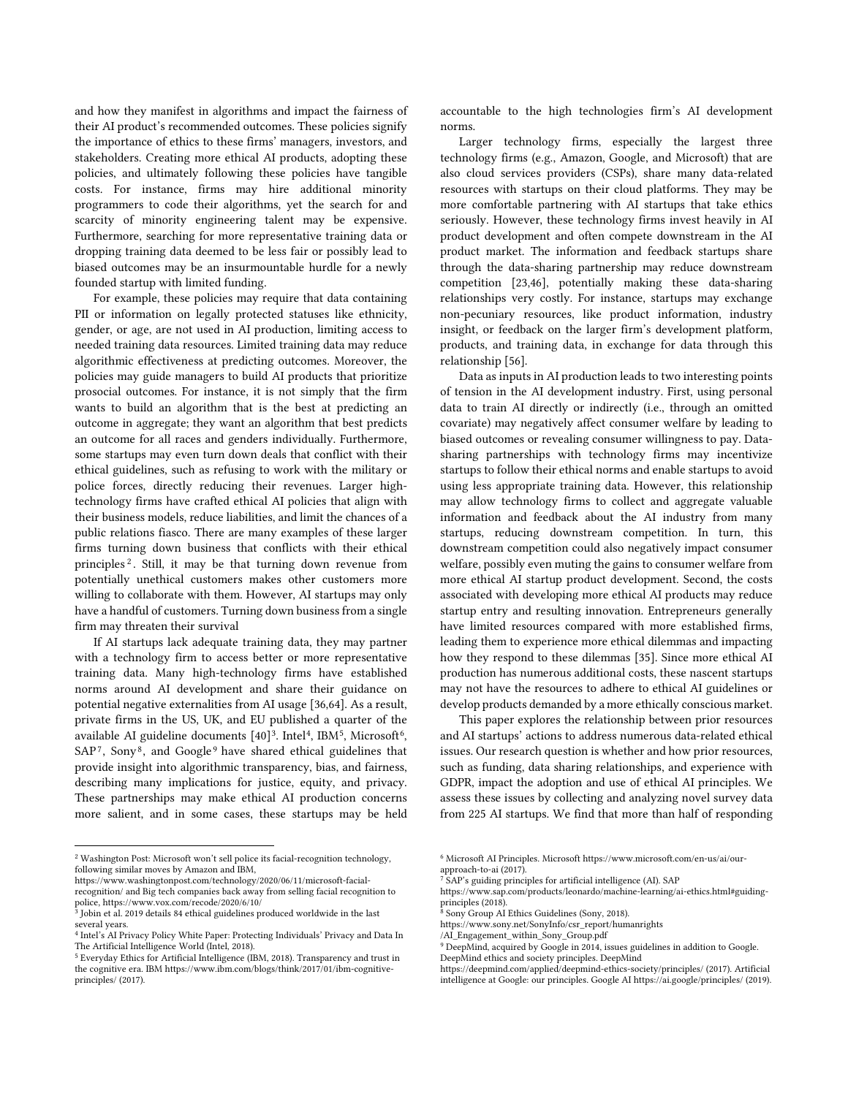and how they manifest in algorithms and impact the fairness of their AI product's recommended outcomes. These policies signify the importance of ethics to these firms' managers, investors, and stakeholders. Creating more ethical AI products, adopting these policies, and ultimately following these policies have tangible costs. For instance, firms may hire additional minority programmers to code their algorithms, yet the search for and scarcity of minority engineering talent may be expensive. Furthermore, searching for more representative training data or dropping training data deemed to be less fair or possibly lead to biased outcomes may be an insurmountable hurdle for a newly founded startup with limited funding.

For example, these policies may require that data containing PII or information on legally protected statuses like ethnicity, gender, or age, are not used in AI production, limiting access to needed training data resources. Limited training data may reduce algorithmic effectiveness at predicting outcomes. Moreover, the policies may guide managers to build AI products that prioritize prosocial outcomes. For instance, it is not simply that the firm wants to build an algorithm that is the best at predicting an outcome in aggregate; they want an algorithm that best predicts an outcome for all races and genders individually. Furthermore, some startups may even turn down deals that conflict with their ethical guidelines, such as refusing to work with the military or police forces, directly reducing their revenues. Larger hightechnology firms have crafted ethical AI policies that align with their business models, reduce liabilities, and limit the chances of a public relations fiasco. There are many examples of these larger firms turning down business that conflicts with their ethical principles<sup>[2](#page-1-0)</sup>. Still, it may be that turning down revenue from potentially unethical customers makes other customers more willing to collaborate with them. However, AI startups may only have a handful of customers. Turning down business from a single firm may threaten their survival

If AI startups lack adequate training data, they may partner with a technology firm to access better or more representative training data. Many high-technology firms have established norms around AI development and share their guidance on potential negative externalities from AI usage [\[36,](#page-9-13)[64\]](#page-10-4). As a result, private firms in the US, UK, and EU published a quarter of the available AI guideline documents [\[40\]](#page-10-5)<sup>[3](#page-1-1)</sup>. Intel<sup>[4](#page-1-2)</sup>, IBM<sup>[5](#page-1-3)</sup>, Microsoft<sup>6</sup>, SAP<sup>[7](#page-1-4)</sup>, Sony<sup>[8](#page-1-1)</sup>, and Google<sup>[9](#page-1-5)</sup> have shared ethical guidelines that provide insight into algorithmic transparency, bias, and fairness, describing many implications for justice, equity, and privacy. These partnerships may make ethical AI production concerns more salient, and in some cases, these startups may be held

accountable to the high technologies firm's AI development norms.

Larger technology firms, especially the largest three technology firms (e.g., Amazon, Google, and Microsoft) that are also cloud services providers (CSPs), share many data-related resources with startups on their cloud platforms. They may be more comfortable partnering with AI startups that take ethics seriously. However, these technology firms invest heavily in AI product development and often compete downstream in the AI product market. The information and feedback startups share through the data-sharing partnership may reduce downstream competition [\[23,](#page-9-14)[46\]](#page-10-6), potentially making these data-sharing relationships very costly. For instance, startups may exchange non-pecuniary resources, like product information, industry insight, or feedback on the larger firm's development platform, products, and training data, in exchange for data through this relationship [\[56\]](#page-10-7).

Data as inputs in AI production leads to two interesting points of tension in the AI development industry. First, using personal data to train AI directly or indirectly (i.e., through an omitted covariate) may negatively affect consumer welfare by leading to biased outcomes or revealing consumer willingness to pay. Datasharing partnerships with technology firms may incentivize startups to follow their ethical norms and enable startups to avoid using less appropriate training data. However, this relationship may allow technology firms to collect and aggregate valuable information and feedback about the AI industry from many startups, reducing downstream competition. In turn, this downstream competition could also negatively impact consumer welfare, possibly even muting the gains to consumer welfare from more ethical AI startup product development. Second, the costs associated with developing more ethical AI products may reduce startup entry and resulting innovation. Entrepreneurs generally have limited resources compared with more established firms, leading them to experience more ethical dilemmas and impacting how they respond to these dilemmas [\[35\]](#page-9-15). Since more ethical AI production has numerous additional costs, these nascent startups may not have the resources to adhere to ethical AI guidelines or develop products demanded by a more ethically conscious market.

This paper explores the relationship between prior resources and AI startups' actions to address numerous data-related ethical issues. Our research question is whether and how prior resources, such as funding, data sharing relationships, and experience with GDPR, impact the adoption and use of ethical AI principles. We assess these issues by collecting and analyzing novel survey data from 225 AI startups. We find that more than half of responding

<span id="page-1-0"></span><sup>2</sup> Washington Post: Microsoft won't sell police its facial-recognition technology, following similar moves by Amazon and IBM,

<span id="page-1-4"></span>https://www.washingtonpost.com/technology/2020/06/11/microsoft-facial-

recognition/ and Big tech companies back away from selling facial recognition to police, https://www.vox.com/recode/2020/6/10/ <sup>3</sup> Jobin et al. 2019 details 84 ethical guidelines produced worldwide in the last

<span id="page-1-1"></span>several years.

<span id="page-1-2"></span><sup>4</sup> Intel's AI Privacy Policy White Paper: Protecting Individuals' Privacy and Data In The Artificial Intelligence World (Intel, 2018).

<span id="page-1-5"></span><span id="page-1-3"></span><sup>5</sup> Everyday Ethics for Artificial Intelligence (IBM, 2018). Transparency and trust in the cognitive era. IBM https://www.ibm.com/blogs/think/2017/01/ibm-cognitiveprinciples/ (2017).

<sup>6</sup> Microsoft AI Principles. Microsoft https://www.microsoft.com/en-us/ai/ourapproach-to-ai (2017).

 $7$  SAP's guiding principles for artificial intelligence (AI). SAP

https://www.sap.com/products/leonardo/machine-learning/ai-ethics.html#guidingprinciples (2018).

Sony Group AI Ethics Guidelines (Sony, 2018).

https://www.sony.net/SonyInfo/csr\_report/humanrights

<sup>/</sup>AI\_Engagement\_within\_Sony\_Group.pdf

<sup>9</sup> DeepMind, acquired by Google in 2014, issues guidelines in addition to Google. DeepMind ethics and society principles. DeepMind

https://deepmind.com/applied/deepmind-ethics-society/principles/ (2017). Artificial intelligence at Google: our principles. Google AI https://ai.google/principles/ (2019).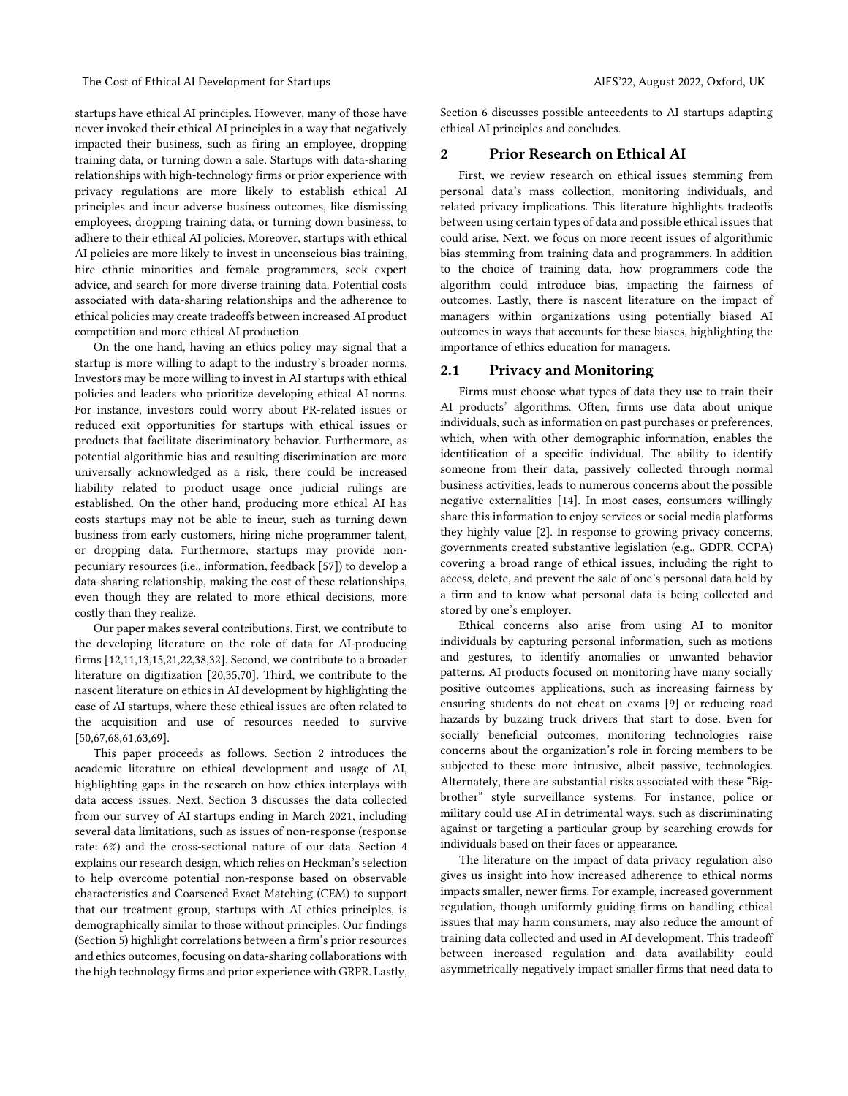competition and more ethical AI production.

startups have ethical AI principles. However, many of those have never invoked their ethical AI principles in a way that negatively impacted their business, such as firing an employee, dropping training data, or turning down a sale. Startups with data-sharing relationships with high-technology firms or prior experience with privacy regulations are more likely to establish ethical AI principles and incur adverse business outcomes, like dismissing employees, dropping training data, or turning down business, to adhere to their ethical AI policies. Moreover, startups with ethical AI policies are more likely to invest in unconscious bias training, hire ethnic minorities and female programmers, seek expert advice, and search for more diverse training data. Potential costs associated with data-sharing relationships and the adherence to ethical policies may create tradeoffs between increased AI product

On the one hand, having an ethics policy may signal that a startup is more willing to adapt to the industry's broader norms. Investors may be more willing to invest in AI startups with ethical policies and leaders who prioritize developing ethical AI norms. For instance, investors could worry about PR-related issues or reduced exit opportunities for startups with ethical issues or products that facilitate discriminatory behavior. Furthermore, as potential algorithmic bias and resulting discrimination are more universally acknowledged as a risk, there could be increased liability related to product usage once judicial rulings are established. On the other hand, producing more ethical AI has costs startups may not be able to incur, such as turning down business from early customers, hiring niche programmer talent, or dropping data. Furthermore, startups may provide nonpecuniary resources (i.e., information, feedback [\[57\]](#page-10-7)) to develop a data-sharing relationship, making the cost of these relationships, even though they are related to more ethical decisions, more costly than they realize.

Our paper makes several contributions. First, we contribute to the developing literature on the role of data for AI-producing firms [\[12,](#page-9-5)[11](#page-9-16)[,13,](#page-9-17)[15](#page-9-0)[,21,](#page-9-18)[22,](#page-9-19)[38](#page-9-20)[,32\]](#page-9-2). Second, we contribute to a broader literature on digitization [\[20,](#page-9-11)[35](#page-9-21)[,70\]](#page-10-8). Third, we contribute to the nascent literature on ethics in AI development by highlighting the case of AI startups, where these ethical issues are often related to the acquisition and use of resources needed to survive [[50](#page-10-9)[,67,](#page-10-10)[68](#page-10-11)[,61,](#page-10-12)[63,](#page-10-13)[69](#page-10-2)].

This paper proceeds as follows. Section 2 introduces the academic literature on ethical development and usage of AI, highlighting gaps in the research on how ethics interplays with data access issues. Next, Section 3 discusses the data collected from our survey of AI startups ending in March 2021, including several data limitations, such as issues of non-response (response rate: 6%) and the cross-sectional nature of our data. Section 4 explains our research design, which relies on Heckman's selection to help overcome potential non-response based on observable characteristics and Coarsened Exact Matching (CEM) to support that our treatment group, startups with AI ethics principles, is demographically similar to those without principles. Our findings (Section 5) highlight correlations between a firm's prior resources and ethics outcomes, focusing on data-sharing collaborations with the high technology firms and prior experience with GRPR. Lastly,

Section 6 discusses possible antecedents to AI startups adapting ethical AI principles and concludes.

#### 2 Prior Research on Ethical AI

First, we review research on ethical issues stemming from personal data's mass collection, monitoring individuals, and related privacy implications. This literature highlights tradeoffs between using certain types of data and possible ethical issues that could arise. Next, we focus on more recent issues of algorithmic bias stemming from training data and programmers. In addition to the choice of training data, how programmers code the algorithm could introduce bias, impacting the fairness of outcomes. Lastly, there is nascent literature on the impact of managers within organizations using potentially biased AI outcomes in ways that accounts for these biases, highlighting the importance of ethics education for managers.

## 2.1 Privacy and Monitoring

Firms must choose what types of data they use to train their AI products' algorithms. Often, firms use data about unique individuals, such as information on past purchases or preferences, which, when with other demographic information, enables the identification of a specific individual. The ability to identify someone from their data, passively collected through normal business activities, leads to numerous concerns about the possible negative externalities [\[14\].](#page-9-9) In most cases, consumers willingly share this information to enjoy services or social media platforms they highly value [\[2\].](#page-9-22) In response to growing privacy concerns, governments created substantive legislation (e.g., GDPR, CCPA) covering a broad range of ethical issues, including the right to access, delete, and prevent the sale of one's personal data held by a firm and to know what personal data is being collected and stored by one's employer.

Ethical concerns also arise from using AI to monitor individuals by capturing personal information, such as motions and gestures, to identify anomalies or unwanted behavior patterns. AI products focused on monitoring have many socially positive outcomes applications, such as increasing fairness by ensuring students do not cheat on exams [\[9\]](#page-9-23) or reducing road hazards by buzzing truck drivers that start to dose. Even for socially beneficial outcomes, monitoring technologies raise concerns about the organization's role in forcing members to be subjected to these more intrusive, albeit passive, technologies. Alternately, there are substantial risks associated with these "Bigbrother" style surveillance systems. For instance, police or military could use AI in detrimental ways, such as discriminating against or targeting a particular group by searching crowds for individuals based on their faces or appearance.

The literature on the impact of data privacy regulation also gives us insight into how increased adherence to ethical norms impacts smaller, newer firms. For example, increased government regulation, though uniformly guiding firms on handling ethical issues that may harm consumers, may also reduce the amount of training data collected and used in AI development. This tradeoff between increased regulation and data availability could asymmetrically negatively impact smaller firms that need data to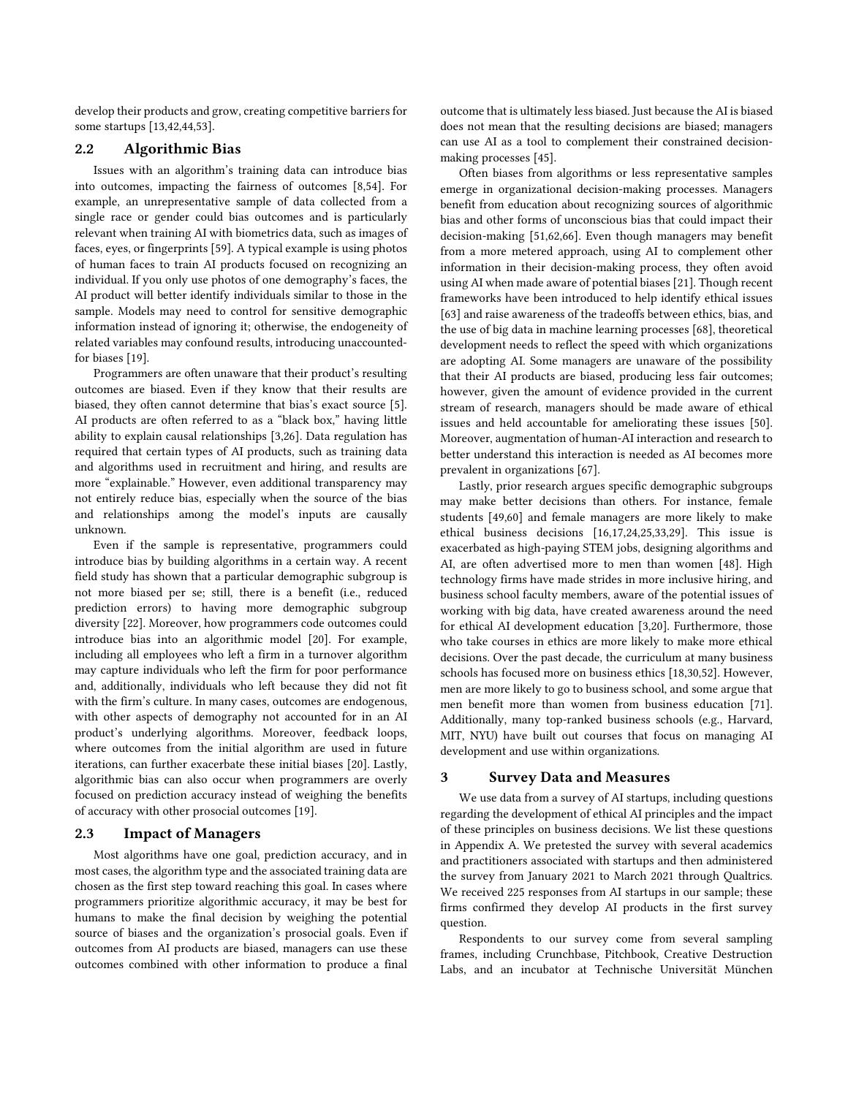develop their products and grow, creating competitive barriers for some startups [\[13,](#page-9-17)[42](#page-10-14)[,44,](#page-10-15)[53](#page-10-16)].

## 2.2 Algorithmic Bias

Issues with an algorithm's training data can introduce bias into outcomes, impacting the fairness of outcomes [[8](#page-9-24),[54](#page-10-17)]. For example, an unrepresentative sample of data collected from a single race or gender could bias outcomes and is particularly relevant when training AI with biometrics data, such as images of faces, eyes, or fingerprints [\[59\]](#page-10-18). A typical example is using photos of human faces to train AI products focused on recognizing an individual. If you only use photos of one demography's faces, the AI product will better identify individuals similar to those in the sample. Models may need to control for sensitive demographic information instead of ignoring it; otherwise, the endogeneity of related variables may confound results, introducing unaccountedfor biases [\[19\]](#page-9-25).

Programmers are often unaware that their product's resulting outcomes are biased. Even if they know that their results are biased, they often cannot determine that bias's exact source [\[5\]](#page-9-26). AI products are often referred to as a "black box," having little ability to explain causal relationships [\[3,](#page-9-27)[26\]](#page-9-28). Data regulation has required that certain types of AI products, such as training data and algorithms used in recruitment and hiring, and results are more "explainable." However, even additional transparency may not entirely reduce bias, especially when the source of the bias and relationships among the model's inputs are causally unknown.

Even if the sample is representative, programmers could introduce bias by building algorithms in a certain way. A recent field study has shown that a particular demographic subgroup is not more biased per se; still, there is a benefit (i.e., reduced prediction errors) to having more demographic subgroup diversit[y \[22\].](#page-9-19) Moreover, how programmers code outcomes could introduce bias into an algorithmic model [\[20\].](#page-9-11) For example, including all employees who left a firm in a turnover algorithm may capture individuals who left the firm for poor performance and, additionally, individuals who left because they did not fit with the firm's culture. In many cases, outcomes are endogenous, with other aspects of demography not accounted for in an AI product's underlying algorithms. Moreover, feedback loops, where outcomes from the initial algorithm are used in future iterations, can further exacerbate these initial biases [\[20\].](#page-9-11) Lastly, algorithmic bias can also occur when programmers are overly focused on prediction accuracy instead of weighing the benefits of accuracy with other prosocial outcomes [\[19\]](#page-9-25).

# 2.3 Impact of Managers

Most algorithms have one goal, prediction accuracy, and in most cases, the algorithm type and the associated training data are chosen as the first step toward reaching this goal. In cases where programmers prioritize algorithmic accuracy, it may be best for humans to make the final decision by weighing the potential source of biases and the organization's prosocial goals. Even if outcomes from AI products are biased, managers can use these outcomes combined with other information to produce a final outcome that is ultimately less biased. Just because the AI is biased does not mean that the resulting decisions are biased; managers can use AI as a tool to complement their constrained decisionmaking processes [\[45\]](#page-10-19).

Often biases from algorithms or less representative samples emerge in organizational decision-making processes. Managers benefit from education about recognizing sources of algorithmic bias and other forms of unconscious bias that could impact their decision-making [[51](#page-10-20)[,62](#page-10-21)[,66\]](#page-10-22). Even though managers may benefit from a more metered approach, using AI to complement other information in their decision-making process, they often avoid using AI when made aware of potential biase[s \[21\].](#page-9-18) Though recent frameworks have been introduced to help identify ethical issues [\[63\]](#page-10-13) and raise awareness of the tradeoffs between ethics, bias, and the use of big data in machine learning processes [\[68\]](#page-10-11), theoretical development needs to reflect the speed with which organizations are adopting AI. Some managers are unaware of the possibility that their AI products are biased, producing less fair outcomes; however, given the amount of evidence provided in the current stream of research, managers should be made aware of ethical issues and held accountable for ameliorating these issues [\[50\]](#page-10-9). Moreover, augmentation of human-AI interaction and research to better understand this interaction is needed as AI becomes more prevalent in organization[s \[67\].](#page-10-10)

Lastly, prior research argues specific demographic subgroups may make better decisions than others. For instance, female students [[49](#page-10-23)[,60\]](#page-10-24) and female managers are more likely to make ethical business decisions [\[16,](#page-9-29)[17](#page-9-30)[,24,](#page-9-31)[25](#page-9-32)[,33,](#page-9-33)[29](#page-9-34)]. This issue is exacerbated as high-paying STEM jobs, designing algorithms and AI, are often advertised more to men than women [\[48\]](#page-10-25). High technology firms have made strides in more inclusive hiring, and business school faculty members, aware of the potential issues of working with big data, have created awareness around the need for ethical AI development education [\[3](#page-9-27)[,20\]](#page-9-11). Furthermore, those who take courses in ethics are more likely to make more ethical decisions. Over the past decade, the curriculum at many business schools has focused more on business ethics [[18](#page-9-35)[,30,](#page-9-36)[52](#page-10-26)]. However, men are more likely to go to business school, and some argue that men benefit more than women from business education [\[71\].](#page-10-27) Additionally, many top-ranked business schools (e.g., Harvard, MIT, NYU) have built out courses that focus on managing AI development and use within organizations.

#### 3 Survey Data and Measures

We use data from a survey of AI startups, including questions regarding the development of ethical AI principles and the impact of these principles on business decisions. We list these questions in Appendix A. We pretested the survey with several academics and practitioners associated with startups and then administered the survey from January 2021 to March 2021 through Qualtrics. We received 225 responses from AI startups in our sample; these firms confirmed they develop AI products in the first survey question.

Respondents to our survey come from several sampling frames, including Crunchbase, Pitchbook, Creative Destruction Labs, and an incubator at Technische Universität München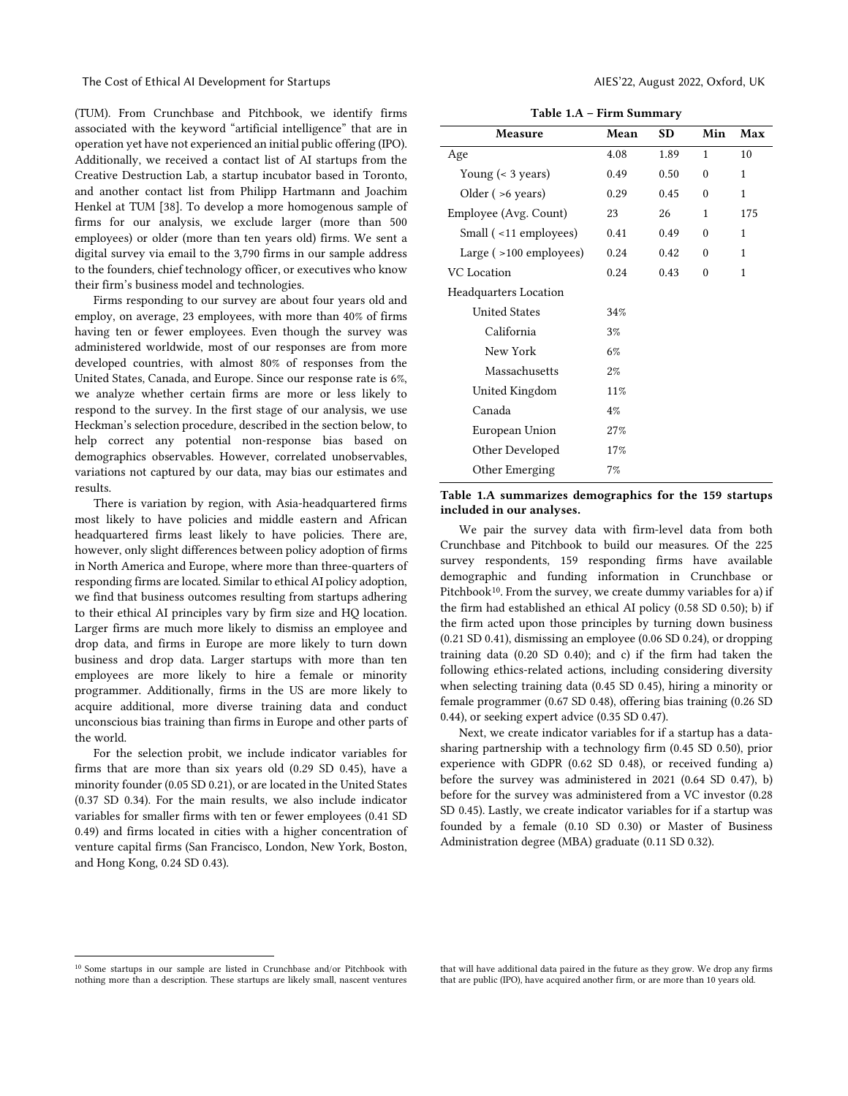(TUM). From Crunchbase and Pitchbook, we identify firms associated with the keyword "artificial intelligence" that are in operation yet have not experienced an initial public offering (IPO). Additionally, we received a contact list of AI startups from the Creative Destruction Lab, a startup incubator based in Toronto, and another contact list from Philipp Hartmann and Joachim Henkel at TUM [\[38\]](#page-9-20). To develop a more homogenous sample of firms for our analysis, we exclude larger (more than 500 employees) or older (more than ten years old) firms. We sent a digital survey via email to the 3,790 firms in our sample address to the founders, chief technology officer, or executives who know their firm's business model and technologies.

Firms responding to our survey are about four years old and employ, on average, 23 employees, with more than 40% of firms having ten or fewer employees. Even though the survey was administered worldwide, most of our responses are from more developed countries, with almost 80% of responses from the United States, Canada, and Europe. Since our response rate is 6%, we analyze whether certain firms are more or less likely to respond to the survey. In the first stage of our analysis, we use Heckman's selection procedure, described in the section below, to help correct any potential non-response bias based on demographics observables. However, correlated unobservables, variations not captured by our data, may bias our estimates and results.

There is variation by region, with Asia-headquartered firms most likely to have policies and middle eastern and African headquartered firms least likely to have policies. There are, however, only slight differences between policy adoption of firms in North America and Europe, where more than three-quarters of responding firms are located. Similar to ethical AI policy adoption, we find that business outcomes resulting from startups adhering to their ethical AI principles vary by firm size and HQ location. Larger firms are much more likely to dismiss an employee and drop data, and firms in Europe are more likely to turn down business and drop data. Larger startups with more than ten employees are more likely to hire a female or minority programmer. Additionally, firms in the US are more likely to acquire additional, more diverse training data and conduct unconscious bias training than firms in Europe and other parts of the world.

For the selection probit, we include indicator variables for firms that are more than six years old (0.29 SD 0.45), have a minority founder (0.05 SD 0.21), or are located in the United States (0.37 SD 0.34). For the main results, we also include indicator variables for smaller firms with ten or fewer employees (0.41 SD 0.49) and firms located in cities with a higher concentration of venture capital firms (San Francisco, London, New York, Boston, and Hong Kong, 0.24 SD 0.43).

Table 1.A – Firm Summary

| Measure                      | Mean | <b>SD</b> | Min          | Max          |
|------------------------------|------|-----------|--------------|--------------|
| Age                          | 4.08 | 1.89      | $\mathbf{1}$ | 10           |
| Young $($ - 3 years $)$      | 0.49 | 0.50      | $\theta$     | $\mathbf{1}$ |
| Older $( > 6$ years)         | 0.29 | 0.45      | $\Omega$     | 1            |
| Employee (Avg. Count)        | 23   | 26        | 1            | 175          |
| Small (<11 employees)        | 0.41 | 0.49      | $\Omega$     | $\mathbf{1}$ |
| Large $($ >100 employees)    | 0.24 | 0.42      | $\theta$     | 1            |
| VC Location                  | 0.24 | 0.43      | $\Omega$     | $\mathbf{1}$ |
| <b>Headquarters Location</b> |      |           |              |              |
| United States                | 34%  |           |              |              |
| California                   | 3%   |           |              |              |
| New York                     | 6%   |           |              |              |
| Massachusetts                | 2%   |           |              |              |
| United Kingdom               | 11%  |           |              |              |
| Canada                       | 4%   |           |              |              |
| European Union               | 27%  |           |              |              |
| Other Developed              | 17%  |           |              |              |
| Other Emerging               | 7%   |           |              |              |

Table 1.A summarizes demographics for the 159 startups included in our analyses.

We pair the survey data with firm-level data from both Crunchbase and Pitchbook to build our measures. Of the 225 survey respondents, 159 responding firms have available demographic and funding information in Crunchbase or Pitchbook<sup>10</sup>. From the survey, we create dummy variables for a) if the firm had established an ethical AI policy (0.58 SD 0.50); b) if the firm acted upon those principles by turning down business (0.21 SD 0.41), dismissing an employee (0.06 SD 0.24), or dropping training data (0.20 SD 0.40); and c) if the firm had taken the following ethics-related actions, including considering diversity when selecting training data (0.45 SD 0.45), hiring a minority or female programmer (0.67 SD 0.48), offering bias training (0.26 SD 0.44), or seeking expert advice (0.35 SD 0.47).

Next, we create indicator variables for if a startup has a datasharing partnership with a technology firm (0.45 SD 0.50), prior experience with GDPR (0.62 SD 0.48), or received funding a) before the survey was administered in 2021 (0.64 SD 0.47), b) before for the survey was administered from a VC investor (0.28 SD 0.45). Lastly, we create indicator variables for if a startup was founded by a female (0.10 SD 0.30) or Master of Business Administration degree (MBA) graduate (0.11 SD 0.32).

that will have additional data paired in the future as they grow. We drop any firms that are public (IPO), have acquired another firm, or are more than 10 years old.

<span id="page-4-0"></span><sup>10</sup> Some startups in our sample are listed in Crunchbase and/or Pitchbook with nothing more than a description. These startups are likely small, nascent ventures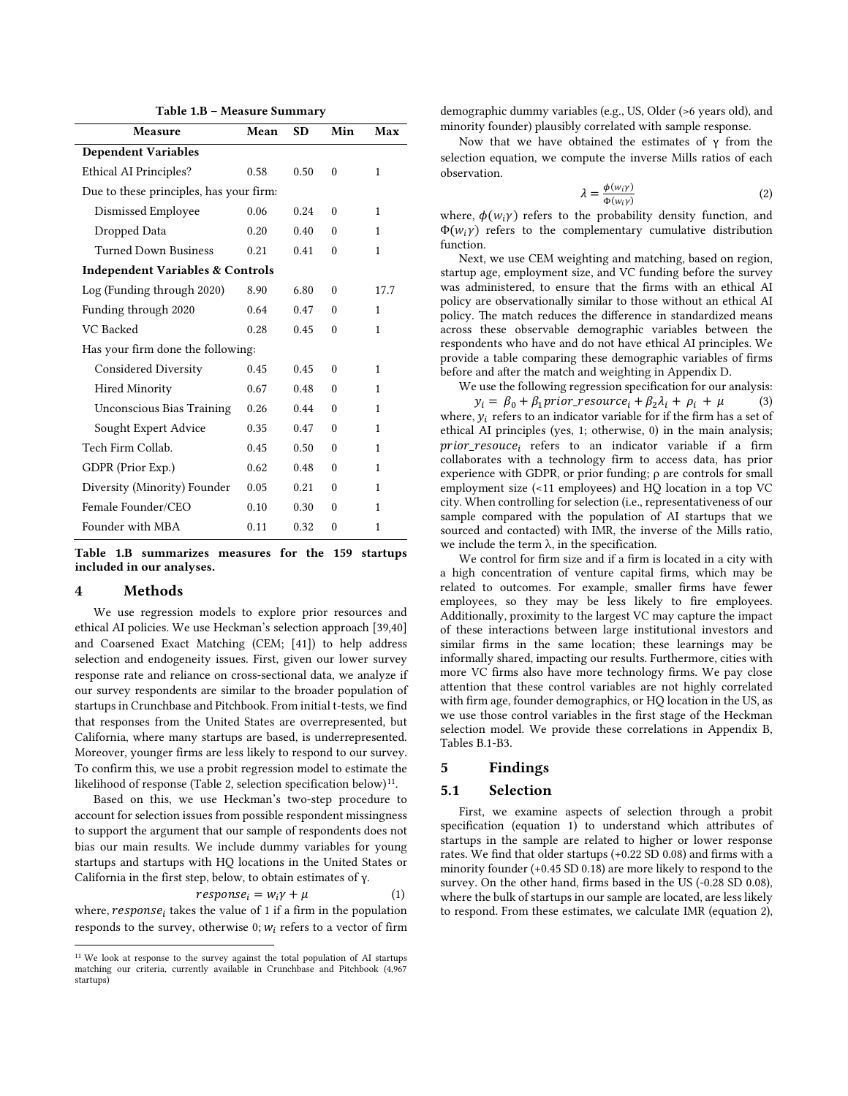| Table 1.B – Measure Summary |  |
|-----------------------------|--|
|-----------------------------|--|

| Measure                                     | Mean | <b>SD</b> | Min      | Max  |
|---------------------------------------------|------|-----------|----------|------|
| <b>Dependent Variables</b>                  |      |           |          |      |
| Ethical AI Principles?                      | 0.58 | 0.50      | $\theta$ | 1    |
| Due to these principles, has your firm:     |      |           |          |      |
| Dismissed Employee                          | 0.06 | 0.24      | $\theta$ | 1    |
| Dropped Data                                | 0.20 | 0.40      | $\theta$ | 1    |
| Turned Down Business                        | 0.21 | 0.41      | $\theta$ | 1    |
| <b>Independent Variables &amp; Controls</b> |      |           |          |      |
| Log (Funding through 2020)                  | 8.90 | 6.80      | $\theta$ | 17.7 |
| Funding through 2020                        | 0.64 | 0.47      | $\theta$ | 1    |
| VC Backed                                   | 0.28 | 0.45      | $\theta$ | 1    |
| Has your firm done the following:           |      |           |          |      |
| Considered Diversity                        | 0.45 | 0.45      | $\theta$ | 1    |
| <b>Hired Minority</b>                       | 0.67 | 0.48      | $\theta$ | 1    |
| <b>Unconscious Bias Training</b>            | 0.26 | 0.44      | $\theta$ | 1    |
| Sought Expert Advice                        | 0.35 | 0.47      | $\theta$ | 1    |
| Tech Firm Collab.                           | 0.45 | 0.50      | $\theta$ | 1    |
| GDPR (Prior Exp.)                           | 0.62 | 0.48      | $\theta$ | 1    |
| Diversity (Minority) Founder                | 0.05 | 0.21      | $\theta$ | 1    |
| Female Founder/CEO                          | 0.10 | 0.30      | $\theta$ | 1    |
| Founder with MBA                            | 0.11 | 0.32      | $\theta$ | 1    |

Table 1.B summarizes measures for the 159 startups included in our analyses.

#### 4 Methods

We use regression models to explore prior resources and ethical AI policies. We use Heckman's selection approach [[39](#page-9-37)[,40\]](#page-9-38) and Coarsened Exact Matching (CEM; [\[41\]\)](#page-9-39) to help address selection and endogeneity issues. First, given our lower survey response rate and reliance on cross-sectional data, we analyze if our survey respondents are similar to the broader population of startups in Crunchbase and Pitchbook. From initial t-tests, we find that responses from the United States are overrepresented, but California, where many startups are based, is underrepresented. Moreover, younger firms are less likely to respond to our survey. To confirm this, we use a probit regression model to estimate the likelihood of response (Table 2, selection specification below) $11$ .

Based on this, we use Heckman's two-step procedure to account for selection issues from possible respondent missingness to support the argument that our sample of respondents does not bias our main results. We include dummy variables for young startups and startups with HQ locations in the United States or California in the first step, below, to obtain estimates of γ.

$$
response_i = w_i \gamma + \mu \tag{1}
$$

where,  $response<sub>i</sub>$  takes the value of 1 if a firm in the population responds to the survey, otherwise  $0$ ;  $w_i$  refers to a vector of firm demographic dummy variables (e.g., US, Older (>6 years old), and minority founder) plausibly correlated with sample response.

Now that we have obtained the estimates of  $\gamma$  from the selection equation, we compute the inverse Mills ratios of each observation.

$$
\lambda = \frac{\phi(w_i \gamma)}{\Phi(w_i \gamma)}
$$
 (2)

where,  $\phi(w_i \gamma)$  refers to the probability density function, and  $\Phi(w_i \gamma)$  refers to the complementary cumulative distribution function.

Next, we use CEM weighting and matching, based on region, startup age, employment size, and VC funding before the survey was administered, to ensure that the firms with an ethical AI policy are observationally similar to those without an ethical AI policy. The match reduces the difference in standardized means across these observable demographic variables between the respondents who have and do not have ethical AI principles. We provide a table comparing these demographic variables of firms before and after the match and weighting in Appendix D.

We use the following regression specification for our analysis:  $y_i = \beta_0 + \beta_1 prior\_resource_i + \beta_2 \lambda_i + \rho_i + \mu$  (3) where,  $y_i$  refers to an indicator variable for if the firm has a set of ethical AI principles (yes, 1; otherwise, 0) in the main analysis;  $prior\_resource_i$  refers to an indicator variable if a firm collaborates with a technology firm to access data, has prior experience with GDPR, or prior funding; ρ are controls for small employment size (<11 employees) and HQ location in a top VC city. When controlling for selection (i.e., representativeness of our sample compared with the population of AI startups that we sourced and contacted) with IMR, the inverse of the Mills ratio, we include the term  $\lambda$ , in the specification.

We control for firm size and if a firm is located in a city with a high concentration of venture capital firms, which may be related to outcomes. For example, smaller firms have fewer employees, so they may be less likely to fire employees. Additionally, proximity to the largest VC may capture the impact of these interactions between large institutional investors and similar firms in the same location; these learnings may be informally shared, impacting our results. Furthermore, cities with more VC firms also have more technology firms. We pay close attention that these control variables are not highly correlated with firm age, founder demographics, or HQ location in the US, as we use those control variables in the first stage of the Heckman selection model. We provide these correlations in Appendix B, Tables B.1-B3.

# 5 Findings

# 5.1 Selection

First, we examine aspects of selection through a probit specification (equation 1) to understand which attributes of startups in the sample are related to higher or lower response rates. We find that older startups (+0.22 SD 0.08) and firms with a minority founder (+0.45 SD 0.18) are more likely to respond to the survey. On the other hand, firms based in the US (-0.28 SD 0.08), where the bulk of startups in our sample are located, are less likely to respond. From these estimates, we calculate IMR (equation 2),

<span id="page-5-0"></span><sup>&</sup>lt;sup>11</sup> We look at response to the survey against the total population of AI startups matching our criteria, currently available in Crunchbase and Pitchbook (4,967 startups)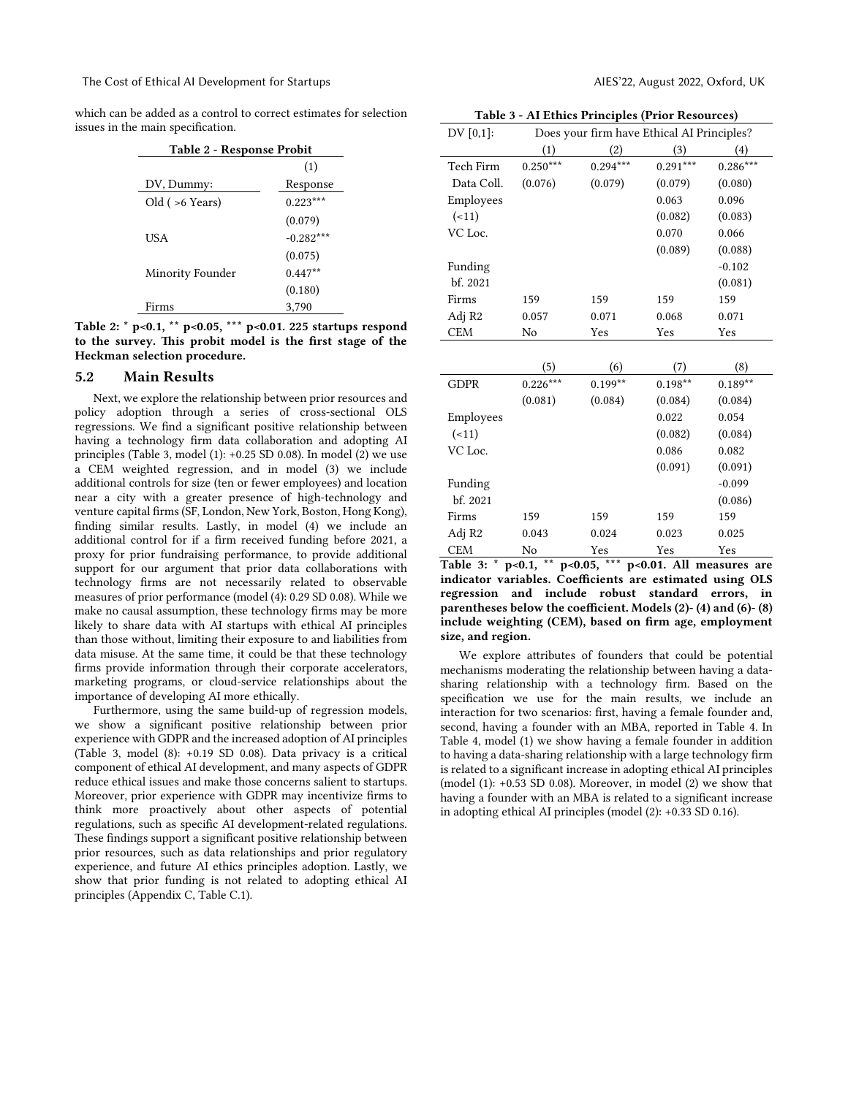which can be added as a control to correct estimates for selection issues in the main specification.

| Table 2 - Response Probit |             |  |  |
|---------------------------|-------------|--|--|
|                           | (1)         |  |  |
| DV, Dummy:                | Response    |  |  |
| $Old$ ( $>6$ Years)       | $0.223***$  |  |  |
|                           | (0.079)     |  |  |
| USA                       | $-0.282***$ |  |  |
|                           | (0.075)     |  |  |
| Minority Founder          | $0.447**$   |  |  |
|                           | (0.180)     |  |  |
| Firms                     | 3,790       |  |  |
|                           |             |  |  |

Table 2: \* p<0.1, \*\* p<0.05, \*\*\* p<0.01. 225 startups respond to the survey. This probit model is the first stage of the Heckman selection procedure.

## 5.2 Main Results

Next, we explore the relationship between prior resources and policy adoption through a series of cross-sectional OLS regressions. We find a significant positive relationship between having a technology firm data collaboration and adopting AI principles (Table 3, model (1): +0.25 SD 0.08). In model (2) we use a CEM weighted regression, and in model (3) we include additional controls for size (ten or fewer employees) and location near a city with a greater presence of high-technology and venture capital firms (SF, London, New York, Boston, Hong Kong), finding similar results. Lastly, in model (4) we include an additional control for if a firm received funding before 2021, a proxy for prior fundraising performance, to provide additional support for our argument that prior data collaborations with technology firms are not necessarily related to observable measures of prior performance (model (4): 0.29 SD 0.08). While we make no causal assumption, these technology firms may be more likely to share data with AI startups with ethical AI principles than those without, limiting their exposure to and liabilities from data misuse. At the same time, it could be that these technology firms provide information through their corporate accelerators, marketing programs, or cloud-service relationships about the importance of developing AI more ethically.

Furthermore, using the same build-up of regression models, we show a significant positive relationship between prior experience with GDPR and the increased adoption of AI principles (Table 3, model (8): +0.19 SD 0.08). Data privacy is a critical component of ethical AI development, and many aspects of GDPR reduce ethical issues and make those concerns salient to startups. Moreover, prior experience with GDPR may incentivize firms to think more proactively about other aspects of potential regulations, such as specific AI development-related regulations. These findings support a significant positive relationship between prior resources, such as data relationships and prior regulatory experience, and future AI ethics principles adoption. Lastly, we show that prior funding is not related to adopting ethical AI principles (Appendix C, Table C.1).

Table 3 - AI Ethics Principles (Prior Resources)

| $DV[0,1]$ :                                           | Does your firm have Ethical AI Principles? |            |                     |                   |  |  |
|-------------------------------------------------------|--------------------------------------------|------------|---------------------|-------------------|--|--|
|                                                       | (1)                                        | (2)        | (3)                 | $\left( 4\right)$ |  |  |
| Tech Firm                                             | $0.250***$                                 | $0.294***$ | $0.291***$          | $0.286***$        |  |  |
| Data Coll.                                            | (0.076)                                    | (0.079)    | (0.079)             | (0.080)           |  |  |
| Employees                                             |                                            |            | 0.063               | 0.096             |  |  |
| $(-11)$                                               |                                            |            | (0.082)             | (0.083)           |  |  |
| VC Loc.                                               |                                            |            | 0.070               | 0.066             |  |  |
|                                                       |                                            |            | (0.089)             | (0.088)           |  |  |
| Funding                                               |                                            |            |                     | $-0.102$          |  |  |
| bf. 2021                                              |                                            |            |                     | (0.081)           |  |  |
| Firms                                                 | 159                                        | 159        | 159                 | 159               |  |  |
| Adj R2                                                | 0.057                                      | 0.071      | 0.068               | 0.071             |  |  |
| <b>CEM</b>                                            | No                                         | Yes        | Yes                 | Yes               |  |  |
|                                                       |                                            |            |                     |                   |  |  |
|                                                       | (5)                                        | (6)        | (7)                 | (8)               |  |  |
| <b>GDPR</b>                                           | $0.226***$                                 | $0.199**$  | $0.198**$           | $0.189**$         |  |  |
|                                                       | (0.081)                                    | (0.084)    | (0.084)             | (0.084)           |  |  |
| Employees                                             |                                            |            | 0.022               | 0.054             |  |  |
| $(-11)$                                               |                                            |            | (0.082)             | (0.084)           |  |  |
| VC Loc.                                               |                                            |            | 0.086               | 0.082             |  |  |
|                                                       |                                            |            | (0.091)             | (0.091)           |  |  |
| Funding                                               |                                            |            |                     | $-0.099$          |  |  |
| bf. 2021                                              |                                            |            |                     | (0.086)           |  |  |
| Firms                                                 | 159                                        | 159        | 159                 | 159               |  |  |
| Adj R2                                                | 0.043                                      | 0.024      | 0.023               | 0.025             |  |  |
| <b>CEM</b><br>$\star$<br>$\overline{ }$<br>T . 1. 1 . | No<br>$**$<br>n 1                          | Yes<br>*** | Yes<br>$A$ 11<br>л. | Yes               |  |  |

Table 3: \* p<0.1, \*\* p<0.05, \*\*\* p<0.01. All measures are indicator variables. Coefficients are estimated using OLS regression and include robust standard errors, in parentheses below the coefficient. Models (2)- (4) and (6)- (8) include weighting (CEM), based on firm age, employment size, and region.

We explore attributes of founders that could be potential mechanisms moderating the relationship between having a datasharing relationship with a technology firm. Based on the specification we use for the main results, we include an interaction for two scenarios: first, having a female founder and, second, having a founder with an MBA, reported in Table 4. In Table 4, model (1) we show having a female founder in addition to having a data-sharing relationship with a large technology firm is related to a significant increase in adopting ethical AI principles (model (1): +0.53 SD 0.08). Moreover, in model (2) we show that having a founder with an MBA is related to a significant increase in adopting ethical AI principles (model (2): +0.33 SD 0.16).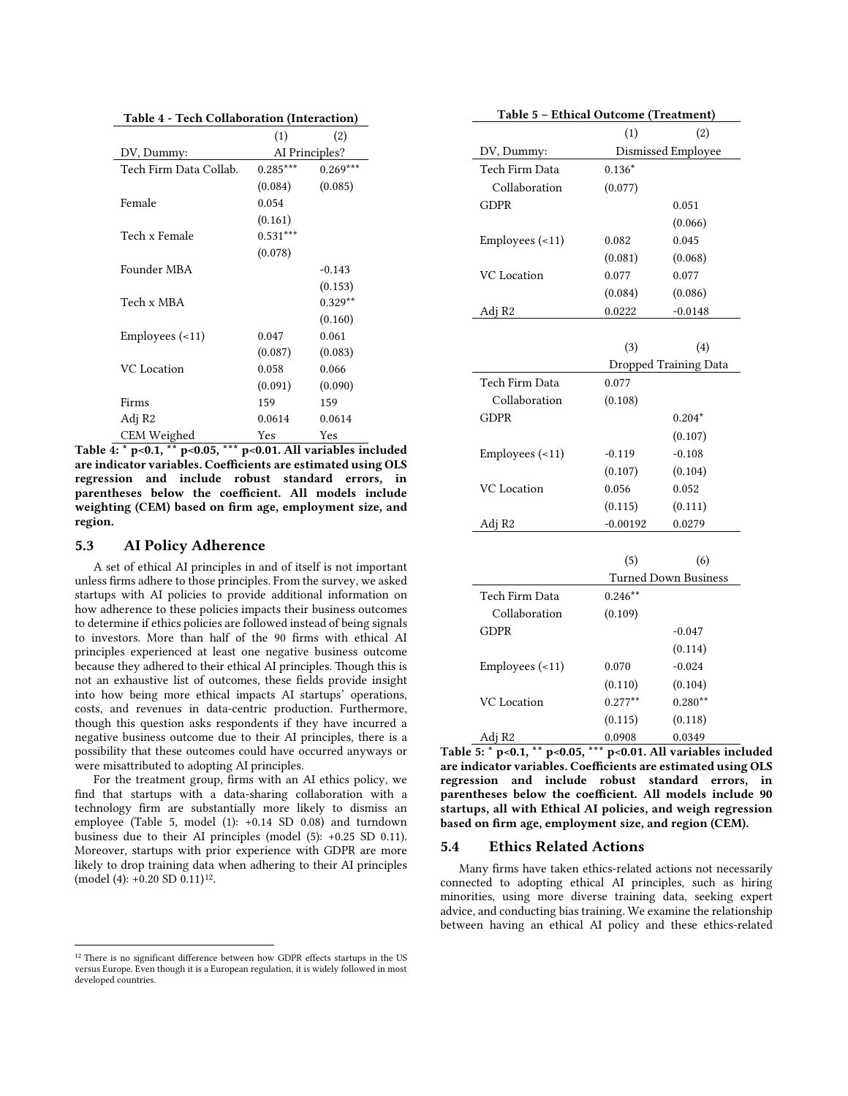Table 4 - Tech Collaboration (Interaction)

|                        | (1)            | (2)        |  |
|------------------------|----------------|------------|--|
| DV, Dummy:             | AI Principles? |            |  |
| Tech Firm Data Collab. | $0.285***$     | $0.269***$ |  |
|                        | (0.084)        | (0.085)    |  |
| Female                 | 0.054          |            |  |
|                        | (0.161)        |            |  |
| Tech x Female          | $0.531***$     |            |  |
|                        | (0.078)        |            |  |
| Founder MBA            |                | $-0.143$   |  |
|                        |                | (0.153)    |  |
| Tech x MBA             |                | $0.329**$  |  |
|                        |                | (0.160)    |  |
| Employees $(\leq 11)$  | 0.047          | 0.061      |  |
|                        | (0.087)        | (0.083)    |  |
| VC Location            | 0.058          | 0.066      |  |
|                        | (0.091)        | (0.090)    |  |
| Firms                  | 159            | 159        |  |
| Adj R2                 | 0.0614         | 0.0614     |  |
| CEM Weighed            | Yes            | Yes        |  |

Table 4: \* p<0.1, \*\* p<0.05, \*\*\* p<0.01. All variables included are indicator variables. Coefficients are estimated using OLS regression and include robust standard errors, in parentheses below the coefficient. All models include weighting (CEM) based on firm age, employment size, and region.

#### 5.3 AI Policy Adherence

A set of ethical AI principles in and of itself is not important unless firms adhere to those principles. From the survey, we asked startups with AI policies to provide additional information on how adherence to these policies impacts their business outcomes to determine if ethics policies are followed instead of being signals to investors. More than half of the 90 firms with ethical AI principles experienced at least one negative business outcome because they adhered to their ethical AI principles. Though this is not an exhaustive list of outcomes, these fields provide insight into how being more ethical impacts AI startups' operations, costs, and revenues in data-centric production. Furthermore, though this question asks respondents if they have incurred a negative business outcome due to their AI principles, there is a possibility that these outcomes could have occurred anyways or were misattributed to adopting AI principles.

For the treatment group, firms with an AI ethics policy, we find that startups with a data-sharing collaboration with a technology firm are substantially more likely to dismiss an employee (Table 5, model (1): +0.14 SD 0.08) and turndown business due to their AI principles (model (5): +0.25 SD 0.11). Moreover, startups with prior experience with GDPR are more likely to drop training data when adhering to their AI principles  $(model(4): +0.20 SD(0.11)<sup>12</sup>.$ 

|                    | Luntai Uuttoine (Treatment) |                             |
|--------------------|-----------------------------|-----------------------------|
|                    | (1)                         | (2)                         |
| DV, Dummy:         |                             | Dismissed Employee          |
| Tech Firm Data     | $0.136*$                    |                             |
| Collaboration      | (0.077)                     |                             |
| <b>GDPR</b>        |                             | 0.051                       |
|                    |                             | (0.066)                     |
| Employees (<11)    | 0.082                       | 0.045                       |
|                    | (0.081)                     | (0.068)                     |
| <b>VC</b> Location | 0.077                       | 0.077                       |
|                    | (0.084)                     | (0.086)                     |
| Adj R2             | 0.0222                      | $-0.0148$                   |
|                    |                             |                             |
|                    | (3)                         | (4)                         |
|                    |                             | Dropped Training Data       |
| Tech Firm Data     | 0.077                       |                             |
| Collaboration      | (0.108)                     |                             |
| <b>GDPR</b>        |                             | $0.204*$                    |
|                    |                             | (0.107)                     |
| Employees (<11)    | $-0.119$                    | $-0.108$                    |
|                    | (0.107)                     | (0.104)                     |
| VC Location        | 0.056                       | 0.052                       |
|                    | (0.115)                     | (0.111)                     |
| Adj R2             | $-0.00192$                  | 0.0279                      |
|                    |                             |                             |
|                    | (5)                         | (6)                         |
|                    |                             | <b>Turned Down Business</b> |
| Tech Firm Data     | $0.246**$                   |                             |
| Collaboration      | (0.109)                     |                             |
| GDPR               |                             | $-0.047$                    |
|                    |                             | (0.114)                     |
| Employees (<11)    | 0.070                       | $-0.024$                    |
|                    | (0.110)                     | (0.104)                     |
| <b>VC</b> Location | $0.277**$                   | $0.280**$                   |
|                    | (0.115)                     | (0.118)                     |
| Adj R2             | 0.0908                      | 0.0349                      |

Table 5: \* p<0.1, \*\* p<0.05, \*\*\* p<0.01. All variables included are indicator variables. Coefficients are estimated using OLS regression and include robust standard errors, in parentheses below the coefficient. All models include 90 startups, all with Ethical AI policies, and weigh regression based on firm age, employment size, and region (CEM).

#### 5.4 Ethics Related Actions

Many firms have taken ethics-related actions not necessarily connected to adopting ethical AI principles, such as hiring minorities, using more diverse training data, seeking expert advice, and conducting bias training. We examine the relationship between having an ethical AI policy and these ethics-related

Table 5 – Ethical Outcome (Treatment)

<span id="page-7-0"></span><sup>&</sup>lt;sup>12</sup> There is no significant difference between how GDPR effects startups in the US versus Europe. Even though it is a European regulation, it is widely followed in most developed countries.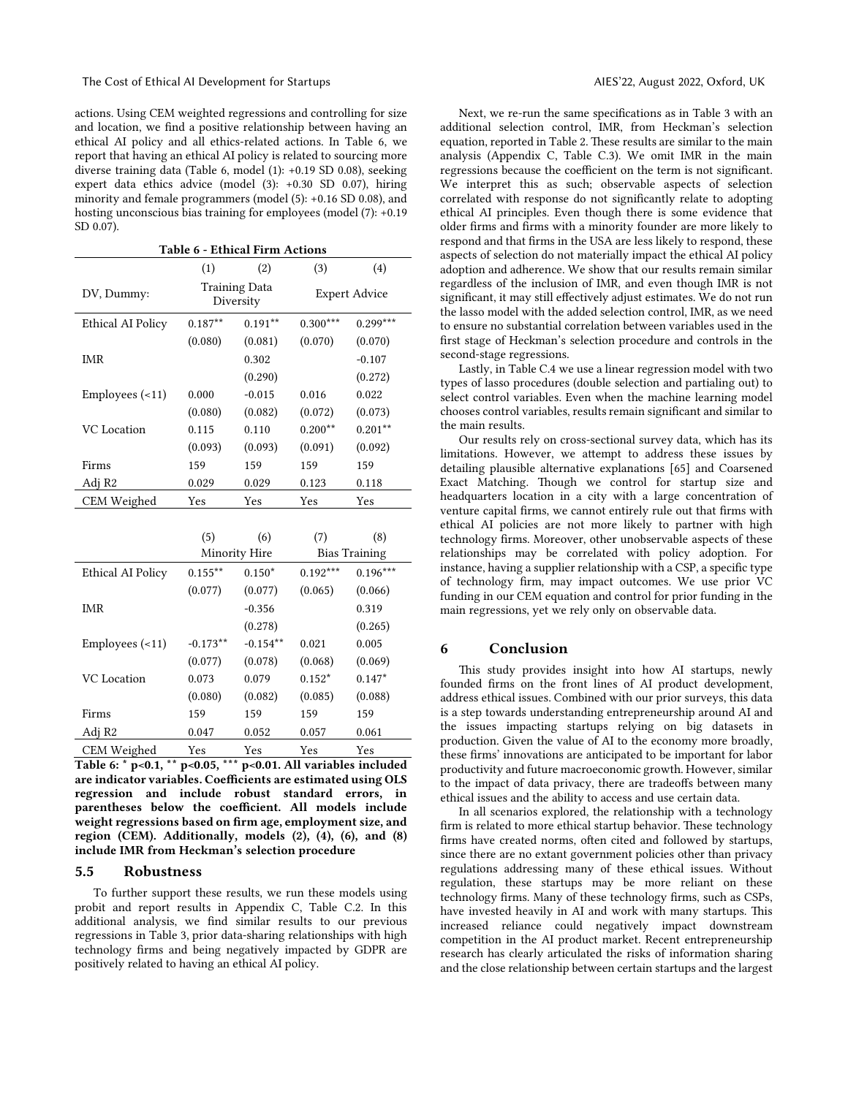actions. Using CEM weighted regressions and controlling for size and location, we find a positive relationship between having an ethical AI policy and all ethics-related actions. In Table 6, we report that having an ethical AI policy is related to sourcing more diverse training data (Table 6, model (1): +0.19 SD 0.08), seeking expert data ethics advice (model (3): +0.30 SD 0.07), hiring minority and female programmers (model (5): +0.16 SD 0.08), and hosting unconscious bias training for employees (model (7): +0.19 SD 0.07).

|                       | (1)                               | (2)       | (3)        | (4)                  |
|-----------------------|-----------------------------------|-----------|------------|----------------------|
| DV, Dummy:            | <b>Training Data</b><br>Diversity |           |            | <b>Expert Advice</b> |
| Ethical AI Policy     | $0.187**$                         | $0.191**$ | $0.300***$ | $0.299***$           |
|                       | (0.080)                           | (0.081)   | (0.070)    | (0.070)              |
| <b>IMR</b>            |                                   | 0.302     |            | $-0.107$             |
|                       |                                   | (0.290)   |            | (0.272)              |
| Employees $(\leq 11)$ | 0.000                             | $-0.015$  | 0.016      | 0.022                |
|                       | (0.080)                           | (0.082)   | (0.072)    | (0.073)              |
| <b>VC</b> Location    | 0.115                             | 0.110     | $0.200**$  | $0.201**$            |
|                       | (0.093)                           | (0.093)   | (0.091)    | (0.092)              |
| Firms                 | 159                               | 159       | 159        | 159                  |
| Adj R2                | 0.029                             | 0.029     | 0.123      | 0.118                |
| CEM Weighed           | Yes                               | Yes       | Yes        | Yes                  |
|                       |                                   |           |            |                      |

|                       | (5)        | (6)<br>Minority Hire | (7)        | (8)<br><b>Bias Training</b> |
|-----------------------|------------|----------------------|------------|-----------------------------|
| Ethical AI Policy     | $0.155***$ | $0.150*$             | $0.192***$ | $0.196***$                  |
|                       | (0.077)    | (0.077)              | (0.065)    | (0.066)                     |
| IMR                   |            | $-0.356$             |            | 0.319                       |
|                       |            | (0.278)              |            | (0.265)                     |
| Employees $(\leq 11)$ | $-0.173**$ | $-0.154**$           | 0.021      | 0.005                       |
|                       | (0.077)    | (0.078)              | (0.068)    | (0.069)                     |
| <b>VC</b> Location    | 0.073      | 0.079                | $0.152*$   | $0.147*$                    |
|                       | (0.080)    | (0.082)              | (0.085)    | (0.088)                     |
| Firms                 | 159        | 159                  | 159        | 159                         |
| Adj R2                | 0.047      | 0.052                | 0.057      | 0.061                       |
| CEM Weighed           | Yes        | Yes                  | Yes        | Yes                         |

Table 6: \* p<0.1, \*\* p<0.05, \*\*\* p<0.01. All variables included are indicator variables. Coefficients are estimated using OLS regression and include robust standard errors, in parentheses below the coefficient. All models include weight regressions based on firm age, employment size, and region (CEM). Additionally, models (2), (4), (6), and (8) include IMR from Heckman's selection procedure

#### 5.5 Robustness

To further support these results, we run these models using probit and report results in Appendix C, Table C.2. In this additional analysis, we find similar results to our previous regressions in Table 3, prior data-sharing relationships with high technology firms and being negatively impacted by GDPR are positively related to having an ethical AI policy.

Next, we re-run the same specifications as in Table 3 with an additional selection control, IMR, from Heckman's selection equation, reported in Table 2. These results are similar to the main analysis (Appendix C, Table C.3). We omit IMR in the main regressions because the coefficient on the term is not significant. We interpret this as such; observable aspects of selection correlated with response do not significantly relate to adopting ethical AI principles. Even though there is some evidence that older firms and firms with a minority founder are more likely to respond and that firms in the USA are less likely to respond, these aspects of selection do not materially impact the ethical AI policy adoption and adherence. We show that our results remain similar regardless of the inclusion of IMR, and even though IMR is not significant, it may still effectively adjust estimates. We do not run the lasso model with the added selection control, IMR, as we need to ensure no substantial correlation between variables used in the first stage of Heckman's selection procedure and controls in the second-stage regressions.

Lastly, in Table C.4 we use a linear regression model with two types of lasso procedures (double selection and partialing out) to select control variables. Even when the machine learning model chooses control variables, results remain significant and similar to the main results.

Our results rely on cross-sectional survey data, which has its limitations. However, we attempt to address these issues by detailing plausible alternative explanations [\[65\]](#page-10-28) and Coarsened Exact Matching. Though we control for startup size and headquarters location in a city with a large concentration of venture capital firms, we cannot entirely rule out that firms with ethical AI policies are not more likely to partner with high technology firms. Moreover, other unobservable aspects of these relationships may be correlated with policy adoption. For instance, having a supplier relationship with a CSP, a specific type of technology firm, may impact outcomes. We use prior VC funding in our CEM equation and control for prior funding in the main regressions, yet we rely only on observable data.

# 6 Conclusion

This study provides insight into how AI startups, newly founded firms on the front lines of AI product development, address ethical issues. Combined with our prior surveys, this data is a step towards understanding entrepreneurship around AI and the issues impacting startups relying on big datasets in production. Given the value of AI to the economy more broadly, these firms' innovations are anticipated to be important for labor productivity and future macroeconomic growth. However, similar to the impact of data privacy, there are tradeoffs between many ethical issues and the ability to access and use certain data.

In all scenarios explored, the relationship with a technology firm is related to more ethical startup behavior. These technology firms have created norms, often cited and followed by startups, since there are no extant government policies other than privacy regulations addressing many of these ethical issues. Without regulation, these startups may be more reliant on these technology firms. Many of these technology firms, such as CSPs, have invested heavily in AI and work with many startups. This increased reliance could negatively impact downstream competition in the AI product market. Recent entrepreneurship research has clearly articulated the risks of information sharing and the close relationship between certain startups and the largest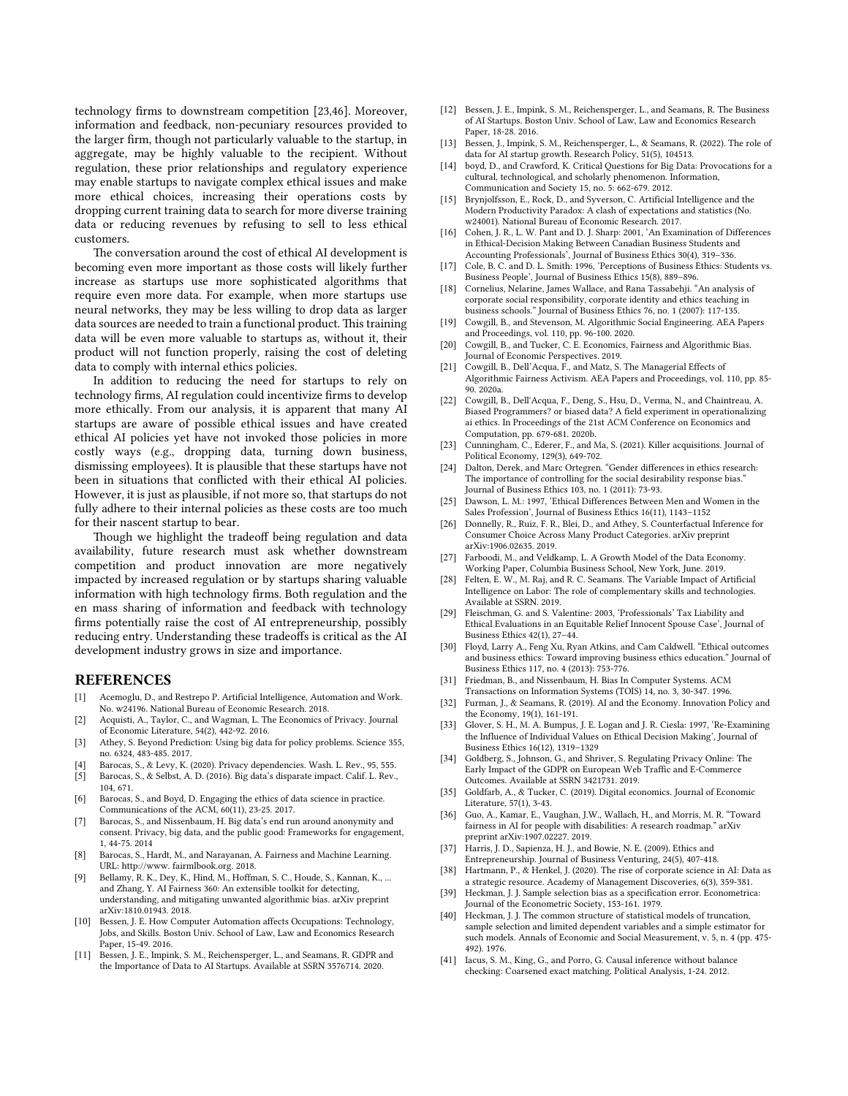technology firms to downstream competition [\[23,](#page-9-14)[46\]](#page-10-6). Moreover, information and feedback, non-pecuniary resources provided to the larger firm, though not particularly valuable to the startup, in aggregate, may be highly valuable to the recipient. Without regulation, these prior relationships and regulatory experience may enable startups to navigate complex ethical issues and make more ethical choices, increasing their operations costs by dropping current training data to search for more diverse training data or reducing revenues by refusing to sell to less ethical customers.

The conversation around the cost of ethical AI development is becoming even more important as those costs will likely further increase as startups use more sophisticated algorithms that require even more data. For example, when more startups use neural networks, they may be less willing to drop data as larger data sources are needed to train a functional product. This training data will be even more valuable to startups as, without it, their product will not function properly, raising the cost of deleting data to comply with internal ethics policies.

In addition to reducing the need for startups to rely on technology firms, AI regulation could incentivize firms to develop more ethically. From our analysis, it is apparent that many AI startups are aware of possible ethical issues and have created ethical AI policies yet have not invoked those policies in more costly ways (e.g., dropping data, turning down business, dismissing employees). It is plausible that these startups have not been in situations that conflicted with their ethical AI policies. However, it is just as plausible, if not more so, that startups do not fully adhere to their internal policies as these costs are too much for their nascent startup to bear.

Though we highlight the tradeoff being regulation and data availability, future research must ask whether downstream competition and product innovation are more negatively impacted by increased regulation or by startups sharing valuable information with high technology firms. Both regulation and the en mass sharing of information and feedback with technology firms potentially raise the cost of AI entrepreneurship, possibly reducing entry. Understanding these tradeoffs is critical as the AI development industry grows in size and importance.

#### REFERENCES

- <span id="page-9-3"></span>Acemoglu, D., and Restrepo P. Artificial Intelligence, Automation and Work. No. w24196. National Bureau of Economic Research. 2018.
- <span id="page-9-22"></span>[2] Acquisti, A., Taylor, C., and Wagman, L. The Economics of Privacy. Journal of Economic Literature, 54(2), 442-92. 2016.
- <span id="page-9-27"></span>[3] Athey, S. Beyond Prediction: Using big data for policy problems. Science 355, no. 6324, 483-485. 2017.
- <span id="page-9-8"></span>Barocas, S., & Levy, K. (2020). Privacy dependencies. Wash. L. Rev., 95, 555.
- <span id="page-9-26"></span>[5] Barocas, S., & Selbst, A. D. (2016). Big data's disparate impact. Calif. L. Rev., 104, 671.
- <span id="page-9-10"></span>[6] Barocas, S., and Boyd, D. Engaging the ethics of data science in practice. Communications of the ACM, 60(11), 23-25. 2017.
- <span id="page-9-7"></span>[7] Barocas, S., and Nissenbaum, H. Big data's end run around anonymity and consent. Privacy, big data, and the public good: Frameworks for engagement, 1, 44-75. 2014
- <span id="page-9-24"></span>[8] Barocas, S., Hardt, M., and Narayanan, A. Fairness and Machine Learning. URL: http://www. fairmlbook.org. 2018.
- <span id="page-9-23"></span>[9] Bellamy, R. K., Dey, K., Hind, M., Hoffman, S. C., Houde, S., Kannan, K., ... and Zhang, Y. AI Fairness 360: An extensible toolkit for detecting, understanding, and mitigating unwanted algorithmic bias. arXiv preprint arXiv:1810.01943. 2018.
- <span id="page-9-4"></span>[10] Bessen, J. E. How Computer Automation affects Occupations: Technology, Jobs, and Skills. Boston Univ. School of Law, Law and Economics Research Paper, 15-49. 2016.
- <span id="page-9-16"></span>[11] Bessen, J. E., Impink, S. M., Reichensperger, L., and Seamans, R. GDPR and the Importance of Data to AI Startups. Available at SSRN 3576714. 2020.
- <span id="page-9-5"></span>[12] Bessen, J. E., Impink, S. M., Reichensperger, L., and Seamans, R. The Business of AI Startups. Boston Univ. School of Law, Law and Economics Research Paper, 18-28. 2016.
- <span id="page-9-17"></span>[13] Bessen, J., Impink, S. M., Reichensperger, L., & Seamans, R. (2022). The role of data for AI startup growth. Research Policy, 51(5), 104513.
- <span id="page-9-9"></span>[14] boyd, D., and Crawford, K. Critical Questions for Big Data: Provocations for a cultural, technological, and scholarly phenomenon. Information, Communication and Society 15, no. 5: 662-679. 2012.
- <span id="page-9-0"></span>[15] Brynjolfsson, E., Rock, D., and Syverson, C. Artificial Intelligence and the Modern Productivity Paradox: A clash of expectations and statistics (No. w24001). National Bureau of Economic Research. 2017.
- <span id="page-9-29"></span>[16] Cohen, J. R., L. W. Pant and D. J. Sharp: 2001, 'An Examination of Differences in Ethical-Decision Making Between Canadian Business Students and Accounting Professionals', Journal of Business Ethics 30(4), 319–336.
- <span id="page-9-30"></span>[17] Cole, B. C. and D. L. Smith: 1996, 'Perceptions of Business Ethics: Students vs. Business People', Journal of Business Ethics 15(8), 889–896.
- <span id="page-9-35"></span>[18] Cornelius, Nelarine, James Wallace, and Rana Tassabehji. "An analysis of corporate social responsibility, corporate identity and ethics teaching in business schools." Journal of Business Ethics 76, no. 1 (2007): 117-135.
- <span id="page-9-25"></span>[19] Cowgill, B., and Stevenson, M. Algorithmic Social Engineering. AEA Papers and Proceedings, vol. 110, pp. 96-100. 2020.
- <span id="page-9-11"></span>[20] Cowgill, B., and Tucker, C. E. Economics, Fairness and Algorithmic Bias. Journal of Economic Perspectives. 2019.
- <span id="page-9-18"></span>[21] Cowgill, B., Dell'Acqua, F., and Matz, S. The Managerial Effects of Algorithmic Fairness Activism. AEA Papers and Proceedings, vol. 110, pp. 85- 90. 2020a.
- <span id="page-9-19"></span>[22] Cowgill, B., Dell'Acqua, F., Deng, S., Hsu, D., Verma, N., and Chaintreau, A. Biased Programmers? or biased data? A field experiment in operationalizing ai ethics. In Proceedings of the 21st ACM Conference on Economics and Computation, pp. 679-681. 2020b.
- <span id="page-9-14"></span>[23] Cunningham, C., Ederer, F., and Ma, S. (2021). Killer acquisitions. Journal of Political Economy, 129(3), 649-702.
- <span id="page-9-31"></span>[24] Dalton, Derek, and Marc Ortegren. "Gender differences in ethics research: The importance of controlling for the social desirability response bias.' Journal of Business Ethics 103, no. 1 (2011): 73-93.
- <span id="page-9-32"></span>[25] Dawson, L. M.: 1997, 'Ethical Differences Between Men and Women in the Sales Profession', Journal of Business Ethics 16(11), 1143–1152
- <span id="page-9-28"></span>[26] Donnelly, R., Ruiz, F. R., Blei, D., and Athey, S. Counterfactual Inference for Consumer Choice Across Many Product Categories. arXiv preprint arXiv:1906.02635. 2019.
- <span id="page-9-1"></span>[27] Farboodi, M., and Veldkamp, L. A Growth Model of the Data Economy. Working Paper, Columbia Business School, New York, June. 2019.
- <span id="page-9-6"></span>[28] Felten, E. W., M. Raj, and R. C. Seamans. The Variable Impact of Artificial Intelligence on Labor: The role of complementary skills and technologies. Available at SSRN. 2019.
- <span id="page-9-34"></span>[29] Fleischman, G. and S. Valentine: 2003, 'Professionals' Tax Liability and Ethical Evaluations in an Equitable Relief Innocent Spouse Case', Journal of Business Ethics 42(1), 27–44.
- <span id="page-9-36"></span>[30] Floyd, Larry A., Feng Xu, Ryan Atkins, and Cam Caldwell. "Ethical outcomes and business ethics: Toward improving business ethics education." Journal of Business Ethics 117, no. 4 (2013): 753-776.
- <span id="page-9-12"></span>[31] Friedman, B., and Nissenbaum, H. Bias In Computer Systems. ACM
- <span id="page-9-2"></span>Transactions on Information Systems (TOIS) 14, no. 3, 30-347. 1996. [32] Furman, J., & Seamans, R. (2019). AI and the Economy. Innovation Policy and the Economy, 19(1), 161-191.
- <span id="page-9-33"></span>[33] Glover, S. H., M. A. Bumpus, J. E. Logan and J. R. Ciesla: 1997, 'Re-Examining the Influence of Individual Values on Ethical Decision Making', Journal of Business Ethics 16(12), 1319–1329
- [34] Goldberg, S., Johnson, G., and Shriver, S. Regulating Privacy Online: The Early Impact of the GDPR on European Web Traffic and E-Commerce Outcomes. Available at SSRN 3421731. 2019.
- <span id="page-9-21"></span>[35] Goldfarb, A., & Tucker, C. (2019). Digital economics. Journal of Economic Literature, 57(1), 3-43.
- <span id="page-9-13"></span>[36] Guo, A., Kamar, E., Vaughan, J.W., Wallach, H., and Morris, M. R. "Toward fairness in AI for people with disabilities: A research roadmap." arXiv preprint arXiv:1907.02227. 2019.
- <span id="page-9-15"></span>[37] Harris, J. D., Sapienza, H. J., and Bowie, N. E. (2009). Ethics and Entrepreneurship. Journal of Business Venturing, 24(5), 407-418.
- <span id="page-9-20"></span>[38] Hartmann, P., & Henkel, J. (2020). The rise of corporate science in AI: Data as a strategic resource. Academy of Management Discoveries, 6(3), 359-381.
- <span id="page-9-37"></span>[39] Heckman, J. J. Sample selection bias as a specification error. Econometrica: Journal of the Econometric Society, 153-161. 1979.
- <span id="page-9-38"></span>[40] Heckman, J. J. The common structure of statistical models of truncation, sample selection and limited dependent variables and a simple estimator for such models. Annals of Economic and Social Measurement, v. 5, n. 4 (pp. 475- 492). 1976.
- <span id="page-9-39"></span>[41] Iacus, S. M., King, G., and Porro, G. Causal inference without balance checking: Coarsened exact matching. Political Analysis, 1-24. 2012.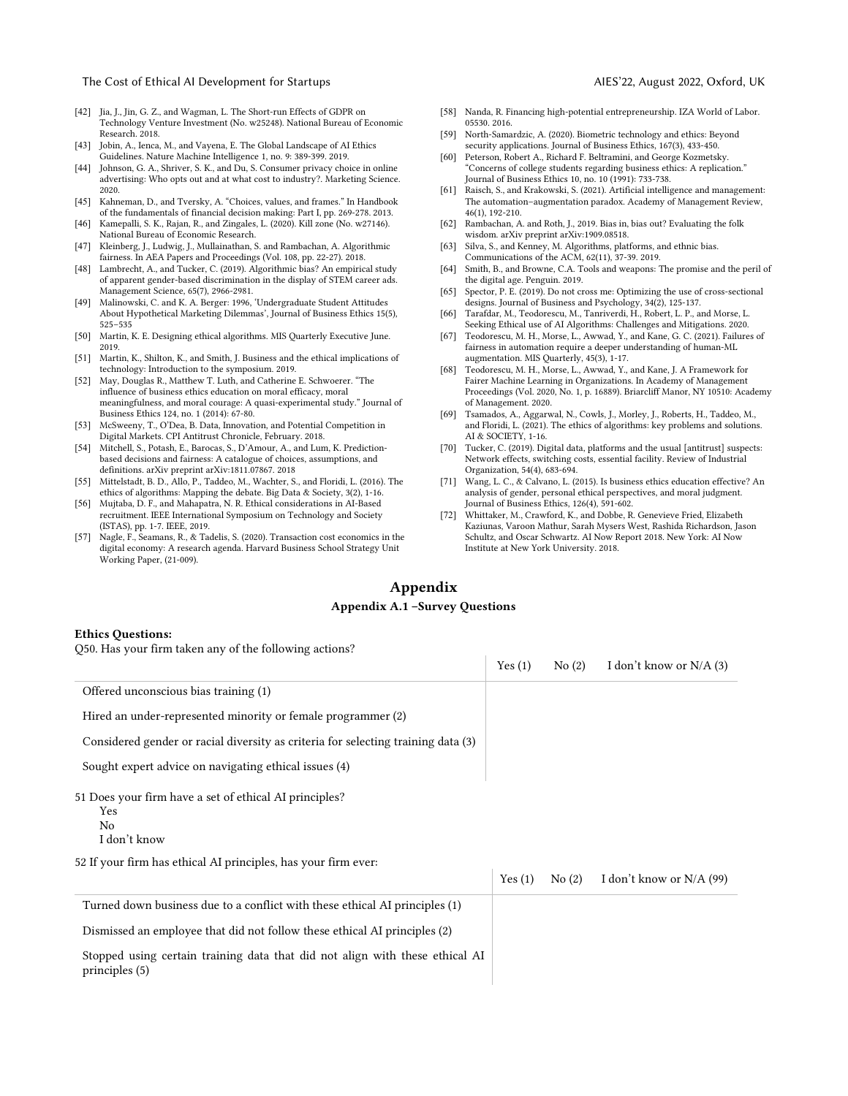- <span id="page-10-14"></span>[42] Jia, J., Jin, G. Z., and Wagman, L. The Short-run Effects of GDPR on Technology Venture Investment (No. w25248). National Bureau of Economic Research. 2018.
- <span id="page-10-5"></span>[43] Jobin, A., Ienca, M., and Vayena, E. The Global Landscape of AI Ethics Guidelines. Nature Machine Intelligence 1, no. 9: 389-399. 2019.
- <span id="page-10-15"></span>[44] Johnson, G. A., Shriver, S. K., and Du, S. Consumer privacy choice in online advertising: Who opts out and at what cost to industry?. Marketing Science. 2020.
- <span id="page-10-19"></span>[45] Kahneman, D., and Tversky, A. "Choices, values, and frames." In Handbook of the fundamentals of financial decision making: Part I, pp. 269-278. 2013.
- <span id="page-10-6"></span>[46] Kamepalli, S. K., Rajan, R., and Zingales, L. (2020). Kill zone (No. w27146). National Bureau of Economic Research.
- [47] Kleinberg, J., Ludwig, J., Mullainathan, S. and Rambachan, A. Algorithmic fairness. In AEA Papers and Proceedings (Vol. 108, pp. 22-27). 2018.
- <span id="page-10-25"></span>[48] Lambrecht, A., and Tucker, C. (2019). Algorithmic bias? An empirical study of apparent gender-based discrimination in the display of STEM career ads. Management Science, 65(7), 2966-2981.
- <span id="page-10-23"></span>[49] Malinowski, C. and K. A. Berger: 1996, 'Undergraduate Student Attitudes About Hypothetical Marketing Dilemmas', Journal of Business Ethics 15(5), 525–535
- <span id="page-10-9"></span>[50] Martin, K. E. Designing ethical algorithms. MIS Quarterly Executive June. 2019.
- <span id="page-10-20"></span>[51] Martin, K., Shilton, K., and Smith, J. Business and the ethical implications of technology: Introduction to the symposium. 2019.
- <span id="page-10-26"></span>[52] May, Douglas R., Matthew T. Luth, and Catherine E. Schwoerer. "The influence of business ethics education on moral efficacy, moral meaningfulness, and moral courage: A quasi-experimental study." Journal of Business Ethics 124, no. 1 (2014): 67-80.
- <span id="page-10-16"></span>[53] McSweeny, T., O'Dea, B. Data, Innovation, and Potential Competition in Digital Markets. CPI Antitrust Chronicle, February. 2018.
- <span id="page-10-17"></span>[54] Mitchell, S., Potash, E., Barocas, S., D'Amour, A., and Lum, K. Predictionbased decisions and fairness: A catalogue of choices, assumptions, and definitions. arXiv preprint arXiv:1811.07867. 2018
- <span id="page-10-1"></span>[55] Mittelstadt, B. D., Allo, P., Taddeo, M., Wachter, S., and Floridi, L. (2016). The ethics of algorithms: Mapping the debate. Big Data & Society, 3(2), 1-16.
- <span id="page-10-3"></span>[56] Mujtaba, D. F., and Mahapatra, N. R. Ethical considerations in AI-Based recruitment. IEEE International Symposium on Technology and Society (ISTAS), pp. 1-7. IEEE, 2019.
- <span id="page-10-7"></span>[57] Nagle, F., Seamans, R., & Tadelis, S. (2020). Transaction cost economics in the digital economy: A research agenda. Harvard Business School Strategy Unit Working Paper, (21-009).
- 
- [58] Nanda, R. Financing high-potential entrepreneurship. IZA World of Labor. 05530. 2016.
- <span id="page-10-18"></span>[59] North-Samardzic, A. (2020). Biometric technology and ethics: Beyond security applications. Journal of Business Ethics, 167(3), 433-450.
- <span id="page-10-24"></span>[60] Peterson, Robert A., Richard F. Beltramini, and George Kozmetsky. "Concerns of college students regarding business ethics: A replication." Journal of Business Ethics 10, no. 10 (1991): 733-738.
- <span id="page-10-12"></span>[61] Raisch, S., and Krakowski, S. (2021). Artificial intelligence and management: The automation–augmentation paradox. Academy of Management Review, 46(1), 192-210.
- <span id="page-10-21"></span>[62] Rambachan, A. and Roth, J., 2019. Bias in, bias out? Evaluating the folk wisdom. arXiv preprint arXiv:1909.08518.
- <span id="page-10-13"></span>[63] Silva, S., and Kenney, M. Algorithms, platforms, and ethnic bias. Communications of the ACM, 62(11), 37-39. 2019.
- <span id="page-10-4"></span>[64] Smith, B., and Browne, C.A. Tools and weapons: The promise and the peril of the digital age. Penguin. 2019.
- <span id="page-10-28"></span>[65] Spector, P. E. (2019). Do not cross me: Optimizing the use of cross-sectional designs. Journal of Business and Psychology, 34(2), 125-137.
- <span id="page-10-22"></span>[66] Tarafdar, M., Teodorescu, M., Tanriverdi, H., Robert, L. P., and Morse, L. Seeking Ethical use of AI Algorithms: Challenges and Mitigations. 2020.
- <span id="page-10-10"></span>[67] Teodorescu, M. H., Morse, L., Awwad, Y., and Kane, G. C. (2021). Failures of fairness in automation require a deeper understanding of human-ML augmentation. MIS Quarterly, 45(3), 1-17.
- <span id="page-10-11"></span>[68] Teodorescu, M. H., Morse, L., Awwad, Y., and Kane, J. A Framework for Fairer Machine Learning in Organizations. In Academy of Management Proceedings (Vol. 2020, No. 1, p. 16889). Briarcliff Manor, NY 10510: Academy of Management. 2020.
- <span id="page-10-2"></span>[69] Tsamados, A., Aggarwal, N., Cowls, J., Morley, J., Roberts, H., Taddeo, M., and Floridi, L. (2021). The ethics of algorithms: key problems and solutions. AI & SOCIETY, 1-16.
- <span id="page-10-8"></span>[70] Tucker, C. (2019). Digital data, platforms and the usual [antitrust] suspects: Network effects, switching costs, essential facility. Review of Industrial Organization, 54(4), 683-694.
- <span id="page-10-27"></span>[71] Wang, L. C., & Calvano, L. (2015). Is business ethics education effective? An analysis of gender, personal ethical perspectives, and moral judgment. Journal of Business Ethics, 126(4), 591-602.
- <span id="page-10-0"></span>[72] Whittaker, M., Crawford, K., and Dobbe, R. Genevieve Fried, Elizabeth Kaziunas, Varoon Mathur, Sarah Mysers West, Rashida Richardson, Jason Schultz, and Oscar Schwartz. AI Now Report 2018. New York: AI Now Institute at New York University. 2018.

# Appendix Appendix A.1 –Survey Questions

#### Ethics Questions:

Q50. Has your firm taken any of the following actions?

|                                                                                                | Yes(1) | No(2) | I don't know or $N/A$ (3)  |
|------------------------------------------------------------------------------------------------|--------|-------|----------------------------|
| Offered unconscious bias training (1)                                                          |        |       |                            |
| Hired an under-represented minority or female programmer (2)                                   |        |       |                            |
| Considered gender or racial diversity as criteria for selecting training data (3)              |        |       |                            |
| Sought expert advice on navigating ethical issues (4)                                          |        |       |                            |
| 51 Does your firm have a set of ethical AI principles?<br>Yes<br>No<br>I don't know            |        |       |                            |
| 52 If your firm has ethical AI principles, has your firm ever:                                 |        |       |                            |
|                                                                                                | Yes(1) | No(2) | I don't know or $N/A$ (99) |
| Turned down business due to a conflict with these ethical AI principles (1)                    |        |       |                            |
| Dismissed an employee that did not follow these ethical AI principles (2)                      |        |       |                            |
| Stopped using certain training data that did not align with these ethical AI<br>principles (5) |        |       |                            |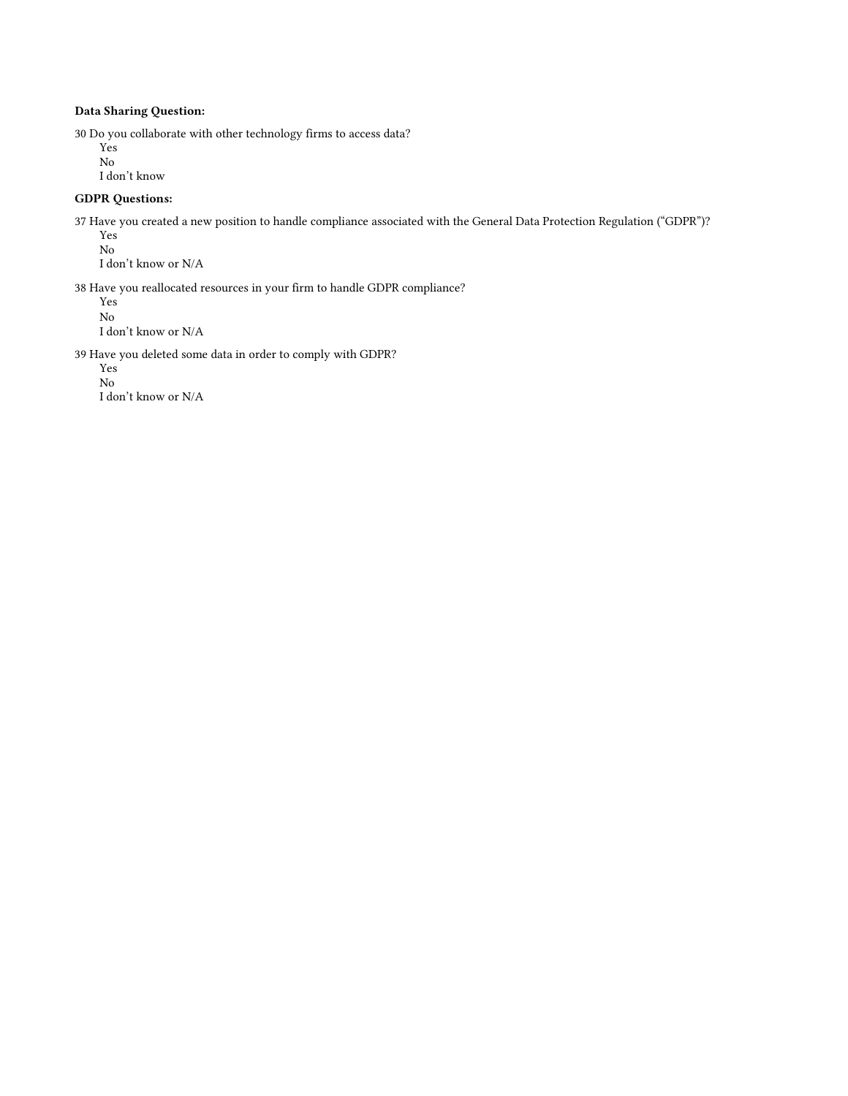# Data Sharing Question:

30 Do you collaborate with other technology firms to access data?

Yes No

I don't know

# GDPR Questions:

37 Have you created a new position to handle compliance associated with the General Data Protection Regulation ("GDPR")?

Yes No I don't know or N/A

38 Have you reallocated resources in your firm to handle GDPR compliance?

Yes No

I don't know or N/A

39 Have you deleted some data in order to comply with GDPR?

Yes No

I don't know or N/A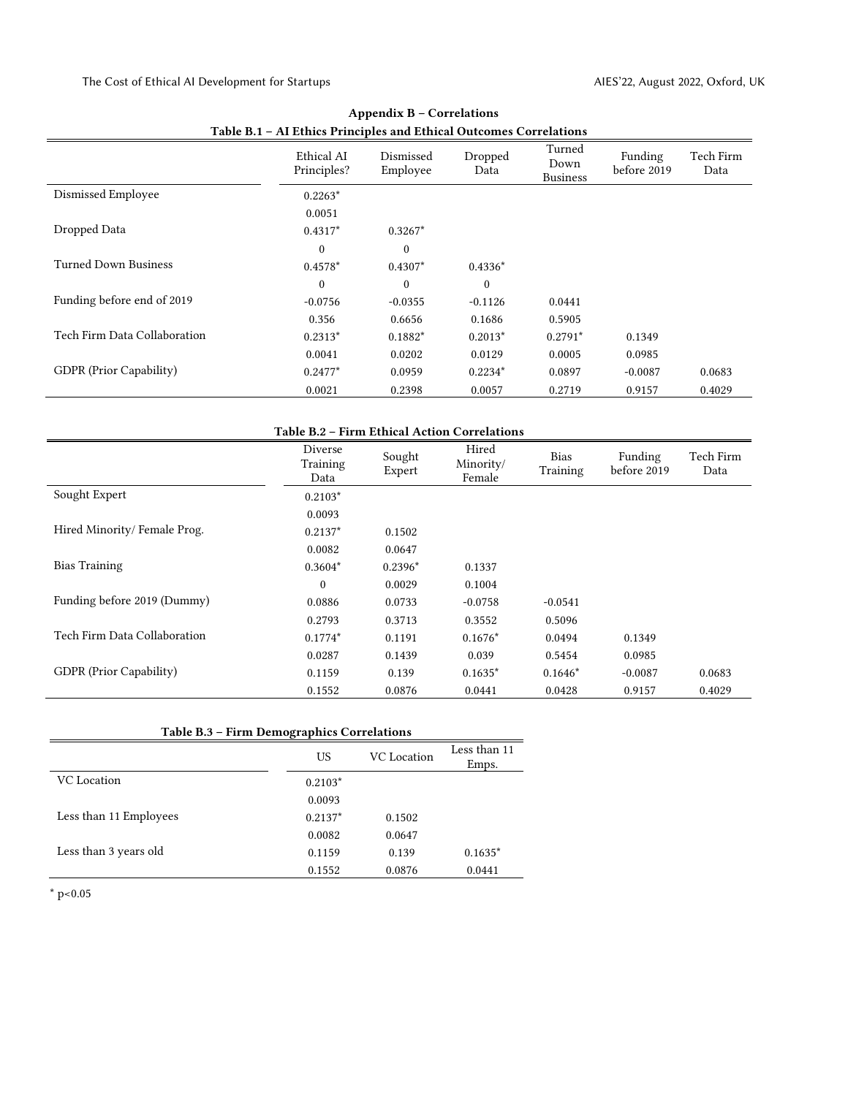|                                | TH Ethics I Hillipics and Ethical Outcomes Correlations<br>Ethical AI<br>Principles? | Dismissed<br>Employee | Dropped<br>Data | Turned<br>Down<br><b>Business</b> | Funding<br>before 2019 | Tech Firm<br>Data |
|--------------------------------|--------------------------------------------------------------------------------------|-----------------------|-----------------|-----------------------------------|------------------------|-------------------|
| Dismissed Employee             | $0.2263*$                                                                            |                       |                 |                                   |                        |                   |
|                                | 0.0051                                                                               |                       |                 |                                   |                        |                   |
| Dropped Data                   | $0.4317*$                                                                            | $0.3267*$             |                 |                                   |                        |                   |
|                                | $\Omega$                                                                             | $\mathbf{0}$          |                 |                                   |                        |                   |
| <b>Turned Down Business</b>    | $0.4578*$                                                                            | $0.4307*$             | $0.4336*$       |                                   |                        |                   |
|                                | $\Omega$                                                                             | $\mathbf{0}$          | $\mathbf{0}$    |                                   |                        |                   |
| Funding before end of 2019     | $-0.0756$                                                                            | $-0.0355$             | $-0.1126$       | 0.0441                            |                        |                   |
|                                | 0.356                                                                                | 0.6656                | 0.1686          | 0.5905                            |                        |                   |
| Tech Firm Data Collaboration   | $0.2313*$                                                                            | $0.1882*$             | $0.2013*$       | $0.2791*$                         | 0.1349                 |                   |
|                                | 0.0041                                                                               | 0.0202                | 0.0129          | 0.0005                            | 0.0985                 |                   |
| <b>GDPR</b> (Prior Capability) | $0.2477*$                                                                            | 0.0959                | $0.2234*$       | 0.0897                            | $-0.0087$              | 0.0683            |
|                                | 0.0021                                                                               | 0.2398                | 0.0057          | 0.2719                            | 0.9157                 | 0.4029            |

# Appendix B – Correlations Table B.1 – AI Ethics Principles and Ethical Outcomes Correlations

Table B.2 – Firm Ethical Action Correlations

|                              | Diverse<br>Training<br>Data | Sought<br>Expert | Hired<br>Minority/<br>Female | <b>Bias</b><br>Training | Funding<br>before 2019 | Tech Firm<br>Data |
|------------------------------|-----------------------------|------------------|------------------------------|-------------------------|------------------------|-------------------|
| Sought Expert                | $0.2103*$                   |                  |                              |                         |                        |                   |
|                              | 0.0093                      |                  |                              |                         |                        |                   |
| Hired Minority/Female Prog.  | $0.2137*$                   | 0.1502           |                              |                         |                        |                   |
|                              | 0.0082                      | 0.0647           |                              |                         |                        |                   |
| <b>Bias Training</b>         | $0.3604*$                   | $0.2396*$        | 0.1337                       |                         |                        |                   |
|                              | $\mathbf{0}$                | 0.0029           | 0.1004                       |                         |                        |                   |
| Funding before 2019 (Dummy)  | 0.0886                      | 0.0733           | $-0.0758$                    | $-0.0541$               |                        |                   |
|                              | 0.2793                      | 0.3713           | 0.3552                       | 0.5096                  |                        |                   |
| Tech Firm Data Collaboration | $0.1774*$                   | 0.1191           | $0.1676*$                    | 0.0494                  | 0.1349                 |                   |
|                              | 0.0287                      | 0.1439           | 0.039                        | 0.5454                  | 0.0985                 |                   |
| GDPR (Prior Capability)      | 0.1159                      | 0.139            | $0.1635*$                    | $0.1646*$               | $-0.0087$              | 0.0683            |
|                              | 0.1552                      | 0.0876           | 0.0441                       | 0.0428                  | 0.9157                 | 0.4029            |

| Table B.3 - Firm Demographics Correlations |  |
|--------------------------------------------|--|
|--------------------------------------------|--|

|                        | <b>US</b> | <b>VC</b> Location | Less than 11<br>Emps. |
|------------------------|-----------|--------------------|-----------------------|
| <b>VC</b> Location     | $0.2103*$ |                    |                       |
|                        | 0.0093    |                    |                       |
| Less than 11 Employees | $0.2137*$ | 0.1502             |                       |
|                        | 0.0082    | 0.0647             |                       |
| Less than 3 years old  | 0.1159    | 0.139              | $0.1635*$             |
|                        | 0.1552    | 0.0876             | 0.0441                |

 $*$  p<0.05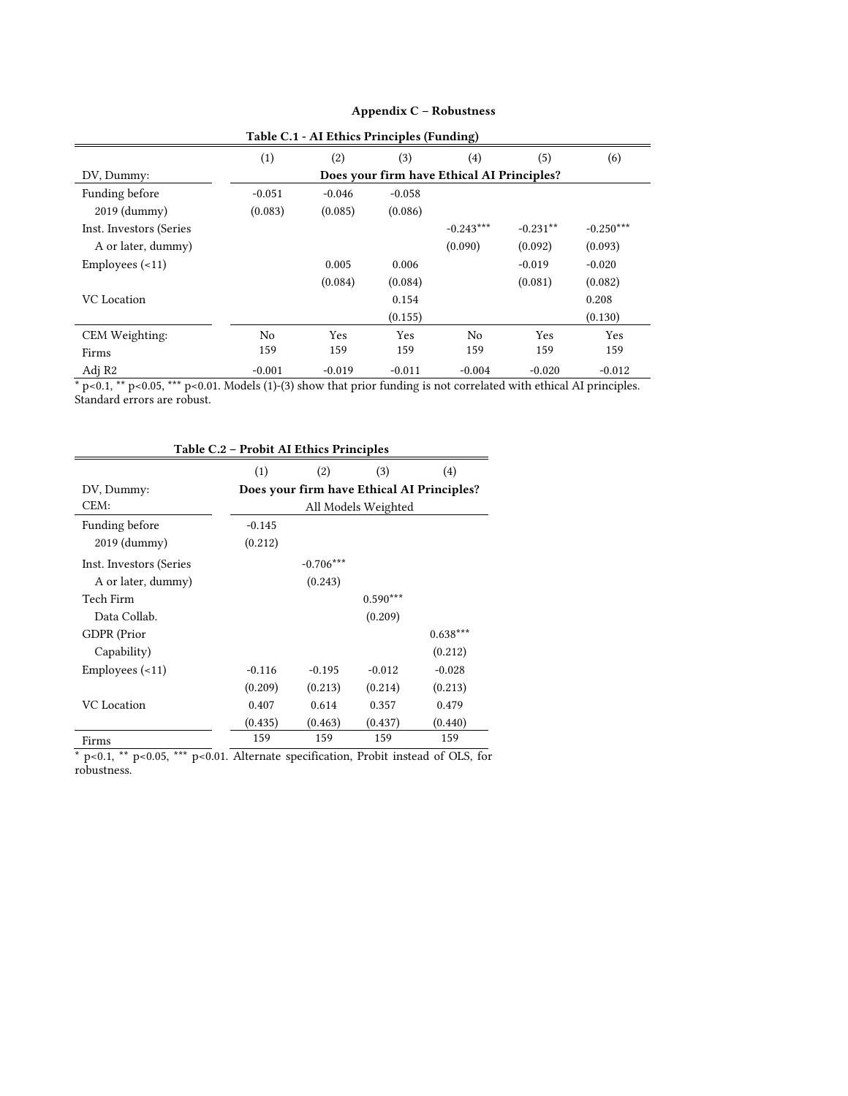|                         | ravic C.I                                  | A Limes I interpres (I unuing) |          |             |            |             |  |  |  |
|-------------------------|--------------------------------------------|--------------------------------|----------|-------------|------------|-------------|--|--|--|
|                         | (1)                                        | (2)                            | (3)      | (4)         | (5)        | (6)         |  |  |  |
| DV, Dummy:              | Does your firm have Ethical AI Principles? |                                |          |             |            |             |  |  |  |
| Funding before          | $-0.051$                                   | $-0.046$                       | $-0.058$ |             |            |             |  |  |  |
| $2019$ (dummy)          | (0.083)                                    | (0.085)                        | (0.086)  |             |            |             |  |  |  |
| Inst. Investors (Series |                                            |                                |          | $-0.243***$ | $-0.231**$ | $-0.250***$ |  |  |  |
| A or later, dummy)      |                                            |                                |          | (0.090)     | (0.092)    | (0.093)     |  |  |  |
| Employees $(\leq 11)$   |                                            | 0.005                          | 0.006    |             | $-0.019$   | $-0.020$    |  |  |  |
|                         |                                            | (0.084)                        | (0.084)  |             | (0.081)    | (0.082)     |  |  |  |
| VC Location             |                                            |                                | 0.154    |             |            | 0.208       |  |  |  |
|                         |                                            |                                | (0.155)  |             |            | (0.130)     |  |  |  |
| CEM Weighting:          | N <sub>0</sub>                             | Yes                            | Yes      | No          | Yes        | Yes         |  |  |  |
| Firms                   | 159                                        | 159                            | 159      | 159         | 159        | 159         |  |  |  |
| Adj R2                  | $-0.001$                                   | $-0.019$                       | $-0.011$ | $-0.004$    | $-0.020$   | $-0.012$    |  |  |  |

# Appendix C – Robustness

Table C.1 - AI Ethics Principles (Funding)

\* p<0.1, \*\* p<0.05, \*\*\* p<0.01. Models (1)-(3) show that prior funding is not correlated with ethical AI principles. Standard errors are robust.

| Table C.2 - Probit AI Ethics Principles |                                            |             |            |            |  |  |  |  |
|-----------------------------------------|--------------------------------------------|-------------|------------|------------|--|--|--|--|
|                                         | (1)                                        | (2)         | (3)        | (4)        |  |  |  |  |
| DV, Dummy:                              | Does your firm have Ethical AI Principles? |             |            |            |  |  |  |  |
| CEM:                                    | All Models Weighted                        |             |            |            |  |  |  |  |
| Funding before                          | $-0.145$                                   |             |            |            |  |  |  |  |
| 2019 (dummy)                            | (0.212)                                    |             |            |            |  |  |  |  |
| Inst. Investors (Series                 |                                            | $-0.706***$ |            |            |  |  |  |  |
| A or later, dummy)                      |                                            | (0.243)     |            |            |  |  |  |  |
| Tech Firm                               |                                            |             | $0.590***$ |            |  |  |  |  |
| Data Collab.                            |                                            |             | (0.209)    |            |  |  |  |  |
| GDPR (Prior                             |                                            |             |            | $0.638***$ |  |  |  |  |
| Capability)                             |                                            |             |            | (0.212)    |  |  |  |  |
| Employees $(\leq 11)$                   | $-0.116$                                   | $-0.195$    | $-0.012$   | $-0.028$   |  |  |  |  |
|                                         | (0.209)                                    | (0.213)     | (0.214)    | (0.213)    |  |  |  |  |
| <b>VC</b> Location                      | 0.407                                      | 0.614       | 0.357      | 0.479      |  |  |  |  |
|                                         | (0.435)                                    | (0.463)     | (0.437)    | (0.440)    |  |  |  |  |
| Firms                                   | 159                                        | 159         | 159        | 159        |  |  |  |  |

\* p<0.1, \*\* p<0.05, \*\*\* p<0.01. Alternate specification, Probit instead of OLS, for robustness.